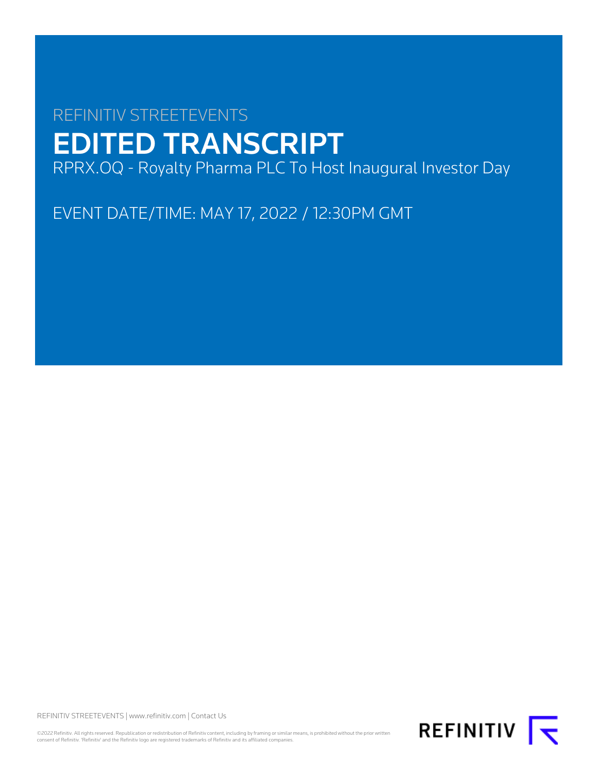# REFINITIV STREETEVENTS EDITED TRANSCRIPT RPRX.OQ - Royalty Pharma PLC To Host Inaugural Investor Day

EVENT DATE/TIME: MAY 17, 2022 / 12:30PM GMT

REFINITIV STREETEVENTS | [www.refinitiv.com](https://www.refinitiv.com/) | [Contact Us](https://www.refinitiv.com/en/contact-us)

©2022 Refinitiv. All rights reserved. Republication or redistribution of Refinitiv content, including by framing or similar means, is prohibited without the prior written<br>consent of Refinitiv. 'Refinitiv' and the Refinitiv

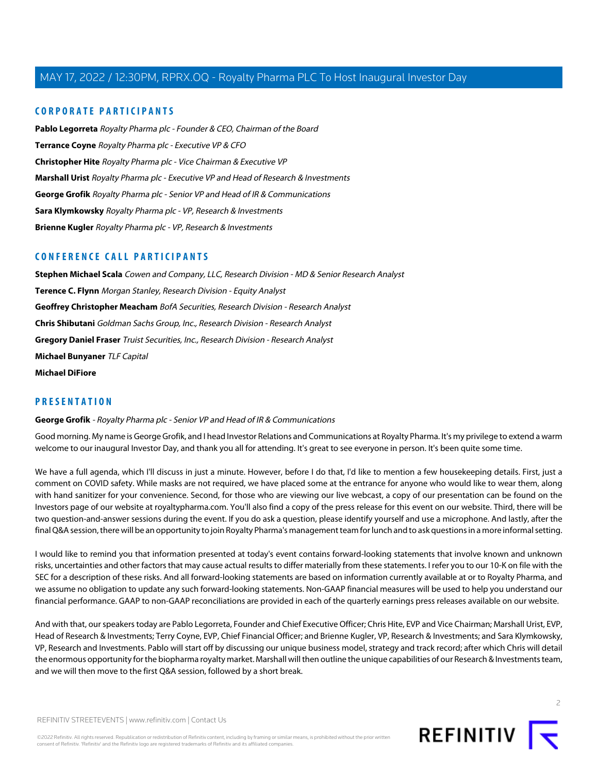#### **CORPORATE PARTICIPANTS**

**[Pablo Legorreta](#page-2-0)** Royalty Pharma plc - Founder & CEO, Chairman of the Board **[Terrance Coyne](#page-18-0)** Royalty Pharma plc - Executive VP & CFO **[Christopher Hite](#page-7-0)** Royalty Pharma plc - Vice Chairman & Executive VP **[Marshall Urist](#page-11-0)** Royalty Pharma plc - Executive VP and Head of Research & Investments **[George Grofik](#page-1-0)** Royalty Pharma plc - Senior VP and Head of IR & Communications **[Sara Klymkowsky](#page-26-0)** Royalty Pharma plc - VP, Research & Investments **[Brienne Kugler](#page-25-0)** Royalty Pharma plc - VP, Research & Investments

#### **CONFERENCE CALL PARTICIPANTS**

**[Stephen Michael Scala](#page-17-0)** Cowen and Company, LLC, Research Division - MD & Senior Research Analyst **[Terence C. Flynn](#page-18-1)** Morgan Stanley, Research Division - Equity Analyst **[Geoffrey Christopher Meacham](#page-19-0)** BofA Securities, Research Division - Research Analyst **[Chris Shibutani](#page-20-0)** Goldman Sachs Group, Inc., Research Division - Research Analyst **[Gregory Daniel Fraser](#page-21-0)** Truist Securities, Inc., Research Division - Research Analyst **[Michael Bunyaner](#page-23-0)** TLF Capital **[Michael DiFiore](#page-40-0)**

#### <span id="page-1-0"></span>**PRESENTATION**

#### **George Grofik** - Royalty Pharma plc - Senior VP and Head of IR & Communications

Good morning. My name is George Grofik, and I head Investor Relations and Communications at Royalty Pharma. It's my privilege to extend a warm welcome to our inaugural Investor Day, and thank you all for attending. It's great to see everyone in person. It's been quite some time.

We have a full agenda, which I'll discuss in just a minute. However, before I do that, I'd like to mention a few housekeeping details. First, just a comment on COVID safety. While masks are not required, we have placed some at the entrance for anyone who would like to wear them, along with hand sanitizer for your convenience. Second, for those who are viewing our live webcast, a copy of our presentation can be found on the Investors page of our website at royaltypharma.com. You'll also find a copy of the press release for this event on our website. Third, there will be two question-and-answer sessions during the event. If you do ask a question, please identify yourself and use a microphone. And lastly, after the final Q&A session, there will be an opportunity to join Royalty Pharma's management team for lunch and to ask questions in a more informal setting.

I would like to remind you that information presented at today's event contains forward-looking statements that involve known and unknown risks, uncertainties and other factors that may cause actual results to differ materially from these statements. I refer you to our 10-K on file with the SEC for a description of these risks. And all forward-looking statements are based on information currently available at or to Royalty Pharma, and we assume no obligation to update any such forward-looking statements. Non-GAAP financial measures will be used to help you understand our financial performance. GAAP to non-GAAP reconciliations are provided in each of the quarterly earnings press releases available on our website.

And with that, our speakers today are Pablo Legorreta, Founder and Chief Executive Officer; Chris Hite, EVP and Vice Chairman; Marshall Urist, EVP, Head of Research & Investments; Terry Coyne, EVP, Chief Financial Officer; and Brienne Kugler, VP, Research & Investments; and Sara Klymkowsky, VP, Research and Investments. Pablo will start off by discussing our unique business model, strategy and track record; after which Chris will detail the enormous opportunity for the biopharma royalty market. Marshall will then outline the unique capabilities of our Research & Investments team, and we will then move to the first Q&A session, followed by a short break.



 $\overline{2}$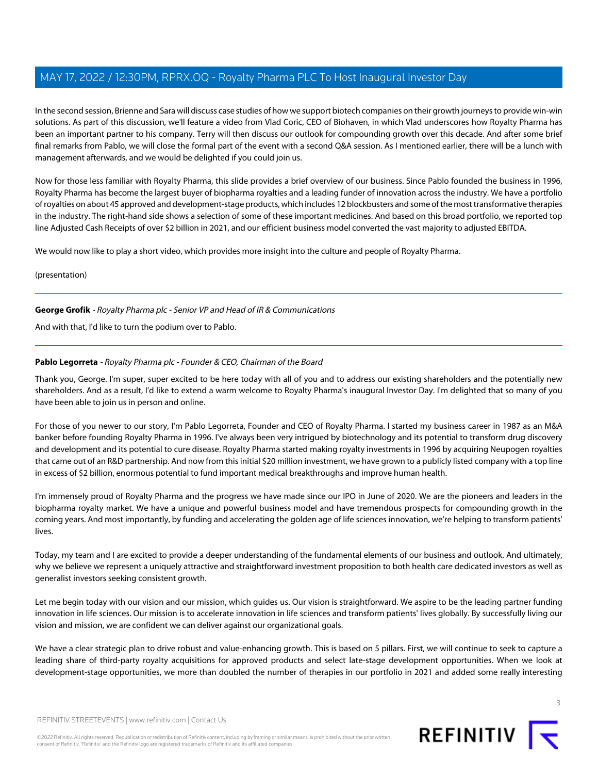In the second session, Brienne and Sara will discuss case studies of how we support biotech companies on their growth journeys to provide win-win solutions. As part of this discussion, we'll feature a video from Vlad Coric, CEO of Biohaven, in which Vlad underscores how Royalty Pharma has been an important partner to his company. Terry will then discuss our outlook for compounding growth over this decade. And after some brief final remarks from Pablo, we will close the formal part of the event with a second Q&A session. As I mentioned earlier, there will be a lunch with management afterwards, and we would be delighted if you could join us.

Now for those less familiar with Royalty Pharma, this slide provides a brief overview of our business. Since Pablo founded the business in 1996, Royalty Pharma has become the largest buyer of biopharma royalties and a leading funder of innovation across the industry. We have a portfolio of royalties on about 45 approved and development-stage products, which includes 12 blockbusters and some of the most transformative therapies in the industry. The right-hand side shows a selection of some of these important medicines. And based on this broad portfolio, we reported top line Adjusted Cash Receipts of over \$2 billion in 2021, and our efficient business model converted the vast majority to adjusted EBITDA.

We would now like to play a short video, which provides more insight into the culture and people of Royalty Pharma.

(presentation)

#### **George Grofik** - Royalty Pharma plc - Senior VP and Head of IR & Communications

<span id="page-2-0"></span>And with that, I'd like to turn the podium over to Pablo.

#### **Pablo Legorreta** - Royalty Pharma plc - Founder & CEO, Chairman of the Board

Thank you, George. I'm super, super excited to be here today with all of you and to address our existing shareholders and the potentially new shareholders. And as a result, I'd like to extend a warm welcome to Royalty Pharma's inaugural Investor Day. I'm delighted that so many of you have been able to join us in person and online.

For those of you newer to our story, I'm Pablo Legorreta, Founder and CEO of Royalty Pharma. I started my business career in 1987 as an M&A banker before founding Royalty Pharma in 1996. I've always been very intrigued by biotechnology and its potential to transform drug discovery and development and its potential to cure disease. Royalty Pharma started making royalty investments in 1996 by acquiring Neupogen royalties that came out of an R&D partnership. And now from this initial \$20 million investment, we have grown to a publicly listed company with a top line in excess of \$2 billion, enormous potential to fund important medical breakthroughs and improve human health.

I'm immensely proud of Royalty Pharma and the progress we have made since our IPO in June of 2020. We are the pioneers and leaders in the biopharma royalty market. We have a unique and powerful business model and have tremendous prospects for compounding growth in the coming years. And most importantly, by funding and accelerating the golden age of life sciences innovation, we're helping to transform patients' lives.

Today, my team and I are excited to provide a deeper understanding of the fundamental elements of our business and outlook. And ultimately, why we believe we represent a uniquely attractive and straightforward investment proposition to both health care dedicated investors as well as generalist investors seeking consistent growth.

Let me begin today with our vision and our mission, which guides us. Our vision is straightforward. We aspire to be the leading partner funding innovation in life sciences. Our mission is to accelerate innovation in life sciences and transform patients' lives globally. By successfully living our vision and mission, we are confident we can deliver against our organizational goals.

We have a clear strategic plan to drive robust and value-enhancing growth. This is based on 5 pillars. First, we will continue to seek to capture a leading share of third-party royalty acquisitions for approved products and select late-stage development opportunities. When we look at development-stage opportunities, we more than doubled the number of therapies in our portfolio in 2021 and added some really interesting

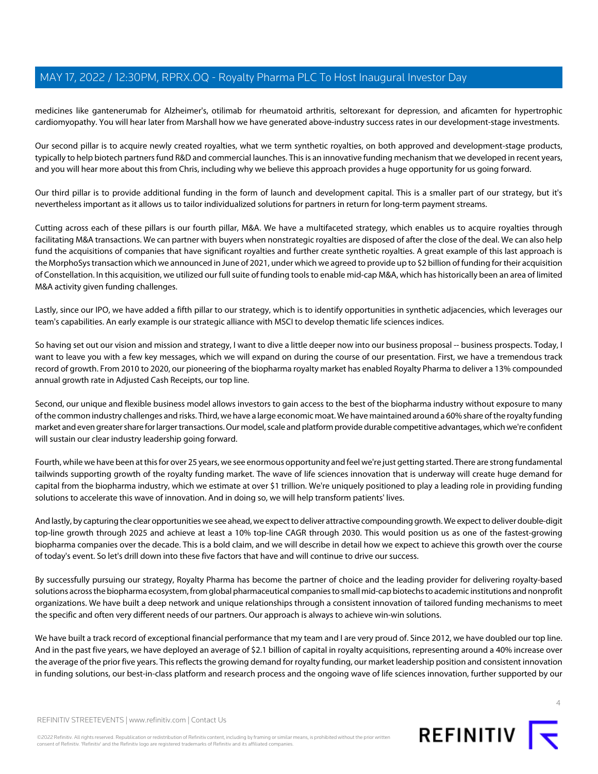medicines like gantenerumab for Alzheimer's, otilimab for rheumatoid arthritis, seltorexant for depression, and aficamten for hypertrophic cardiomyopathy. You will hear later from Marshall how we have generated above-industry success rates in our development-stage investments.

Our second pillar is to acquire newly created royalties, what we term synthetic royalties, on both approved and development-stage products, typically to help biotech partners fund R&D and commercial launches. This is an innovative funding mechanism that we developed in recent years, and you will hear more about this from Chris, including why we believe this approach provides a huge opportunity for us going forward.

Our third pillar is to provide additional funding in the form of launch and development capital. This is a smaller part of our strategy, but it's nevertheless important as it allows us to tailor individualized solutions for partners in return for long-term payment streams.

Cutting across each of these pillars is our fourth pillar, M&A. We have a multifaceted strategy, which enables us to acquire royalties through facilitating M&A transactions. We can partner with buyers when nonstrategic royalties are disposed of after the close of the deal. We can also help fund the acquisitions of companies that have significant royalties and further create synthetic royalties. A great example of this last approach is the MorphoSys transaction which we announced in June of 2021, under which we agreed to provide up to \$2 billion of funding for their acquisition of Constellation. In this acquisition, we utilized our full suite of funding tools to enable mid-cap M&A, which has historically been an area of limited M&A activity given funding challenges.

Lastly, since our IPO, we have added a fifth pillar to our strategy, which is to identify opportunities in synthetic adjacencies, which leverages our team's capabilities. An early example is our strategic alliance with MSCI to develop thematic life sciences indices.

So having set out our vision and mission and strategy, I want to dive a little deeper now into our business proposal -- business prospects. Today, I want to leave you with a few key messages, which we will expand on during the course of our presentation. First, we have a tremendous track record of growth. From 2010 to 2020, our pioneering of the biopharma royalty market has enabled Royalty Pharma to deliver a 13% compounded annual growth rate in Adjusted Cash Receipts, our top line.

Second, our unique and flexible business model allows investors to gain access to the best of the biopharma industry without exposure to many of the common industry challenges and risks. Third, we have a large economic moat. We have maintained around a 60% share of the royalty funding market and even greater share for larger transactions. Our model, scale and platform provide durable competitive advantages, which we're confident will sustain our clear industry leadership going forward.

Fourth, while we have been at this for over 25 years, we see enormous opportunity and feel we're just getting started. There are strong fundamental tailwinds supporting growth of the royalty funding market. The wave of life sciences innovation that is underway will create huge demand for capital from the biopharma industry, which we estimate at over \$1 trillion. We're uniquely positioned to play a leading role in providing funding solutions to accelerate this wave of innovation. And in doing so, we will help transform patients' lives.

And lastly, by capturing the clear opportunities we see ahead, we expect to deliver attractive compounding growth. We expect to deliver double-digit top-line growth through 2025 and achieve at least a 10% top-line CAGR through 2030. This would position us as one of the fastest-growing biopharma companies over the decade. This is a bold claim, and we will describe in detail how we expect to achieve this growth over the course of today's event. So let's drill down into these five factors that have and will continue to drive our success.

By successfully pursuing our strategy, Royalty Pharma has become the partner of choice and the leading provider for delivering royalty-based solutions across the biopharma ecosystem, from global pharmaceutical companies to small mid-cap biotechs to academic institutions and nonprofit organizations. We have built a deep network and unique relationships through a consistent innovation of tailored funding mechanisms to meet the specific and often very different needs of our partners. Our approach is always to achieve win-win solutions.

We have built a track record of exceptional financial performance that my team and I are very proud of. Since 2012, we have doubled our top line. And in the past five years, we have deployed an average of \$2.1 billion of capital in royalty acquisitions, representing around a 40% increase over the average of the prior five years. This reflects the growing demand for royalty funding, our market leadership position and consistent innovation in funding solutions, our best-in-class platform and research process and the ongoing wave of life sciences innovation, further supported by our

©2022 Refinitiv. All rights reserved. Republication or redistribution of Refinitiv content, including by framing or similar means, is prohibited without the prior written consent of Refinitiv. 'Refinitiv' and the Refinitiv logo are registered trademarks of Refinitiv and its affiliated companies.



 $\Delta$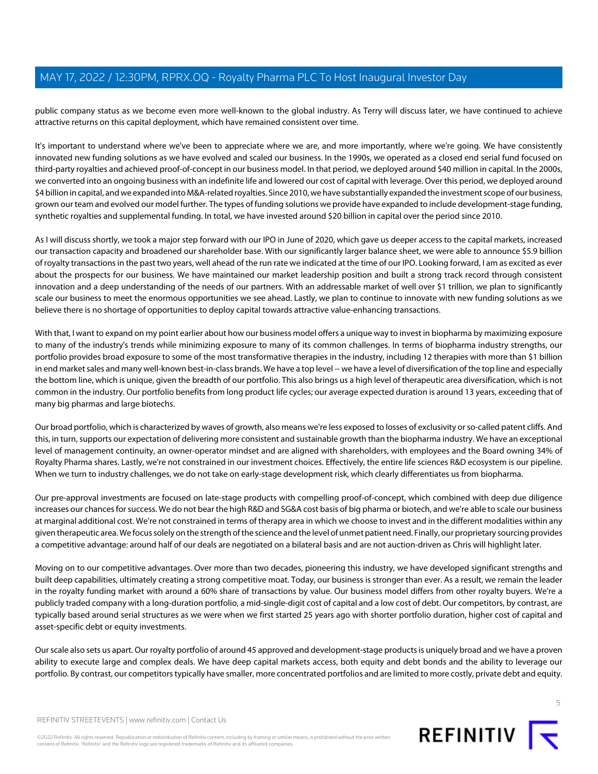public company status as we become even more well-known to the global industry. As Terry will discuss later, we have continued to achieve attractive returns on this capital deployment, which have remained consistent over time.

It's important to understand where we've been to appreciate where we are, and more importantly, where we're going. We have consistently innovated new funding solutions as we have evolved and scaled our business. In the 1990s, we operated as a closed end serial fund focused on third-party royalties and achieved proof-of-concept in our business model. In that period, we deployed around \$40 million in capital. In the 2000s, we converted into an ongoing business with an indefinite life and lowered our cost of capital with leverage. Over this period, we deployed around \$4 billion in capital, and we expanded into M&A-related royalties. Since 2010, we have substantially expanded the investment scope of our business, grown our team and evolved our model further. The types of funding solutions we provide have expanded to include development-stage funding, synthetic royalties and supplemental funding. In total, we have invested around \$20 billion in capital over the period since 2010.

As I will discuss shortly, we took a major step forward with our IPO in June of 2020, which gave us deeper access to the capital markets, increased our transaction capacity and broadened our shareholder base. With our significantly larger balance sheet, we were able to announce \$5.9 billion of royalty transactions in the past two years, well ahead of the run rate we indicated at the time of our IPO. Looking forward, I am as excited as ever about the prospects for our business. We have maintained our market leadership position and built a strong track record through consistent innovation and a deep understanding of the needs of our partners. With an addressable market of well over \$1 trillion, we plan to significantly scale our business to meet the enormous opportunities we see ahead. Lastly, we plan to continue to innovate with new funding solutions as we believe there is no shortage of opportunities to deploy capital towards attractive value-enhancing transactions.

With that, I want to expand on my point earlier about how our business model offers a unique way to invest in biopharma by maximizing exposure to many of the industry's trends while minimizing exposure to many of its common challenges. In terms of biopharma industry strengths, our portfolio provides broad exposure to some of the most transformative therapies in the industry, including 12 therapies with more than \$1 billion in end market sales and many well-known best-in-class brands. We have a top level -- we have a level of diversification of the top line and especially the bottom line, which is unique, given the breadth of our portfolio. This also brings us a high level of therapeutic area diversification, which is not common in the industry. Our portfolio benefits from long product life cycles; our average expected duration is around 13 years, exceeding that of many big pharmas and large biotechs.

Our broad portfolio, which is characterized by waves of growth, also means we're less exposed to losses of exclusivity or so-called patent cliffs. And this, in turn, supports our expectation of delivering more consistent and sustainable growth than the biopharma industry. We have an exceptional level of management continuity, an owner-operator mindset and are aligned with shareholders, with employees and the Board owning 34% of Royalty Pharma shares. Lastly, we're not constrained in our investment choices. Effectively, the entire life sciences R&D ecosystem is our pipeline. When we turn to industry challenges, we do not take on early-stage development risk, which clearly differentiates us from biopharma.

Our pre-approval investments are focused on late-stage products with compelling proof-of-concept, which combined with deep due diligence increases our chances for success. We do not bear the high R&D and SG&A cost basis of big pharma or biotech, and we're able to scale our business at marginal additional cost. We're not constrained in terms of therapy area in which we choose to invest and in the different modalities within any given therapeutic area. We focus solely on the strength of the science and the level of unmet patient need. Finally, our proprietary sourcing provides a competitive advantage: around half of our deals are negotiated on a bilateral basis and are not auction-driven as Chris will highlight later.

Moving on to our competitive advantages. Over more than two decades, pioneering this industry, we have developed significant strengths and built deep capabilities, ultimately creating a strong competitive moat. Today, our business is stronger than ever. As a result, we remain the leader in the royalty funding market with around a 60% share of transactions by value. Our business model differs from other royalty buyers. We're a publicly traded company with a long-duration portfolio, a mid-single-digit cost of capital and a low cost of debt. Our competitors, by contrast, are typically based around serial structures as we were when we first started 25 years ago with shorter portfolio duration, higher cost of capital and asset-specific debt or equity investments.

Our scale also sets us apart. Our royalty portfolio of around 45 approved and development-stage products is uniquely broad and we have a proven ability to execute large and complex deals. We have deep capital markets access, both equity and debt bonds and the ability to leverage our portfolio. By contrast, our competitors typically have smaller, more concentrated portfolios and are limited to more costly, private debt and equity.

REFINITIV STREETEVENTS | [www.refinitiv.com](https://www.refinitiv.com/) | [Contact Us](https://www.refinitiv.com/en/contact-us)

©2022 Refinitiv. All rights reserved. Republication or redistribution of Refinitiv content, including by framing or similar means, is prohibited without the prior written consent of Refinitiv. 'Refinitiv' and the Refinitiv logo are registered trademarks of Refinitiv and its affiliated companies.

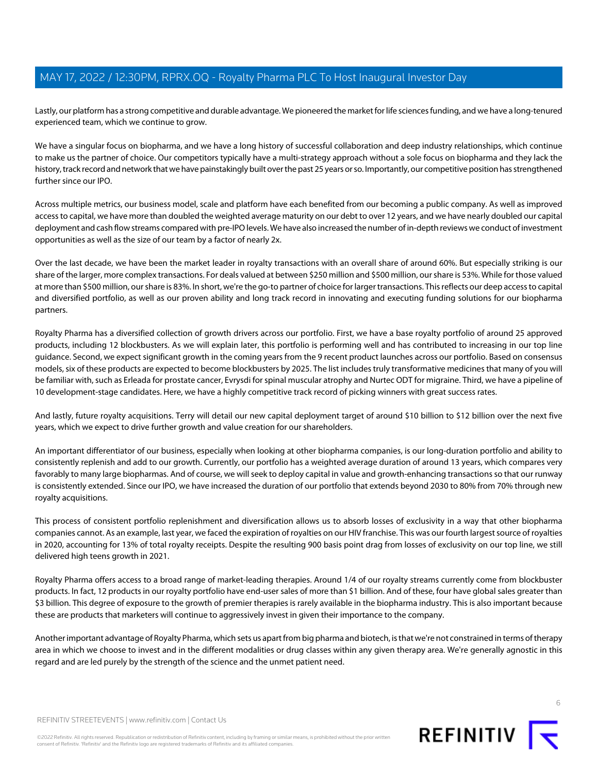Lastly, our platform has a strong competitive and durable advantage. We pioneered the market for life sciences funding, and we have a long-tenured experienced team, which we continue to grow.

We have a singular focus on biopharma, and we have a long history of successful collaboration and deep industry relationships, which continue to make us the partner of choice. Our competitors typically have a multi-strategy approach without a sole focus on biopharma and they lack the history, track record and network that we have painstakingly built over the past 25 years or so. Importantly, our competitive position has strengthened further since our IPO.

Across multiple metrics, our business model, scale and platform have each benefited from our becoming a public company. As well as improved access to capital, we have more than doubled the weighted average maturity on our debt to over 12 years, and we have nearly doubled our capital deployment and cash flow streams compared with pre-IPO levels. We have also increased the number of in-depth reviews we conduct of investment opportunities as well as the size of our team by a factor of nearly 2x.

Over the last decade, we have been the market leader in royalty transactions with an overall share of around 60%. But especially striking is our share of the larger, more complex transactions. For deals valued at between \$250 million and \$500 million, our share is 53%. While for those valued at more than \$500 million, our share is 83%. In short, we're the go-to partner of choice for larger transactions. This reflects our deep access to capital and diversified portfolio, as well as our proven ability and long track record in innovating and executing funding solutions for our biopharma partners.

Royalty Pharma has a diversified collection of growth drivers across our portfolio. First, we have a base royalty portfolio of around 25 approved products, including 12 blockbusters. As we will explain later, this portfolio is performing well and has contributed to increasing in our top line guidance. Second, we expect significant growth in the coming years from the 9 recent product launches across our portfolio. Based on consensus models, six of these products are expected to become blockbusters by 2025. The list includes truly transformative medicines that many of you will be familiar with, such as Erleada for prostate cancer, Evrysdi for spinal muscular atrophy and Nurtec ODT for migraine. Third, we have a pipeline of 10 development-stage candidates. Here, we have a highly competitive track record of picking winners with great success rates.

And lastly, future royalty acquisitions. Terry will detail our new capital deployment target of around \$10 billion to \$12 billion over the next five years, which we expect to drive further growth and value creation for our shareholders.

An important differentiator of our business, especially when looking at other biopharma companies, is our long-duration portfolio and ability to consistently replenish and add to our growth. Currently, our portfolio has a weighted average duration of around 13 years, which compares very favorably to many large biopharmas. And of course, we will seek to deploy capital in value and growth-enhancing transactions so that our runway is consistently extended. Since our IPO, we have increased the duration of our portfolio that extends beyond 2030 to 80% from 70% through new royalty acquisitions.

This process of consistent portfolio replenishment and diversification allows us to absorb losses of exclusivity in a way that other biopharma companies cannot. As an example, last year, we faced the expiration of royalties on our HIV franchise. This was our fourth largest source of royalties in 2020, accounting for 13% of total royalty receipts. Despite the resulting 900 basis point drag from losses of exclusivity on our top line, we still delivered high teens growth in 2021.

Royalty Pharma offers access to a broad range of market-leading therapies. Around 1/4 of our royalty streams currently come from blockbuster products. In fact, 12 products in our royalty portfolio have end-user sales of more than \$1 billion. And of these, four have global sales greater than \$3 billion. This degree of exposure to the growth of premier therapies is rarely available in the biopharma industry. This is also important because these are products that marketers will continue to aggressively invest in given their importance to the company.

Another important advantage of Royalty Pharma, which sets us apart from big pharma and biotech, is that we're not constrained in terms of therapy area in which we choose to invest and in the different modalities or drug classes within any given therapy area. We're generally agnostic in this regard and are led purely by the strength of the science and the unmet patient need.

©2022 Refinitiv. All rights reserved. Republication or redistribution of Refinitiv content, including by framing or similar means, is prohibited without the prior written consent of Refinitiv. 'Refinitiv' and the Refinitiv logo are registered trademarks of Refinitiv and its affiliated companies.

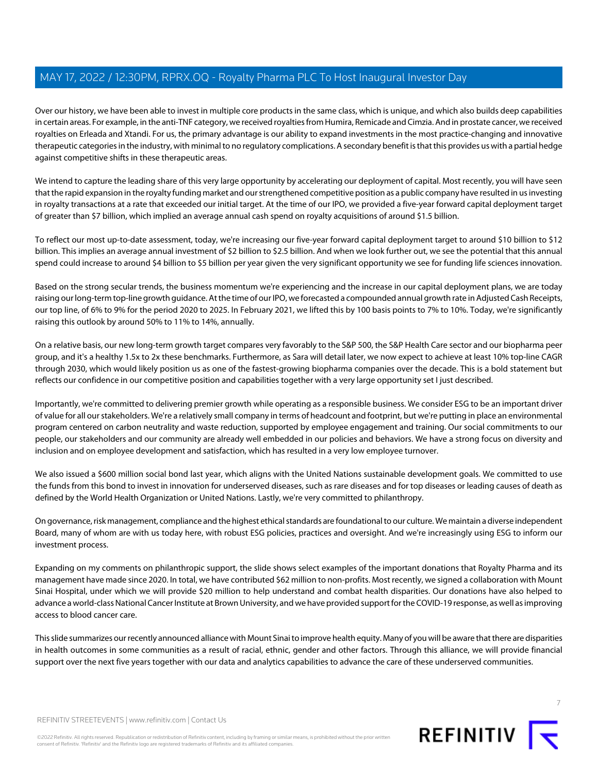Over our history, we have been able to invest in multiple core products in the same class, which is unique, and which also builds deep capabilities in certain areas. For example, in the anti-TNF category, we received royalties from Humira, Remicade and Cimzia. And in prostate cancer, we received royalties on Erleada and Xtandi. For us, the primary advantage is our ability to expand investments in the most practice-changing and innovative therapeutic categories in the industry, with minimal to no regulatory complications. A secondary benefit is that this provides us with a partial hedge against competitive shifts in these therapeutic areas.

We intend to capture the leading share of this very large opportunity by accelerating our deployment of capital. Most recently, you will have seen that the rapid expansion in the royalty funding market and our strengthened competitive position as a public company have resulted in us investing in royalty transactions at a rate that exceeded our initial target. At the time of our IPO, we provided a five-year forward capital deployment target of greater than \$7 billion, which implied an average annual cash spend on royalty acquisitions of around \$1.5 billion.

To reflect our most up-to-date assessment, today, we're increasing our five-year forward capital deployment target to around \$10 billion to \$12 billion. This implies an average annual investment of \$2 billion to \$2.5 billion. And when we look further out, we see the potential that this annual spend could increase to around \$4 billion to \$5 billion per year given the very significant opportunity we see for funding life sciences innovation.

Based on the strong secular trends, the business momentum we're experiencing and the increase in our capital deployment plans, we are today raising our long-term top-line growth guidance. At the time of our IPO, we forecasted a compounded annual growth rate in Adjusted Cash Receipts, our top line, of 6% to 9% for the period 2020 to 2025. In February 2021, we lifted this by 100 basis points to 7% to 10%. Today, we're significantly raising this outlook by around 50% to 11% to 14%, annually.

On a relative basis, our new long-term growth target compares very favorably to the S&P 500, the S&P Health Care sector and our biopharma peer group, and it's a healthy 1.5x to 2x these benchmarks. Furthermore, as Sara will detail later, we now expect to achieve at least 10% top-line CAGR through 2030, which would likely position us as one of the fastest-growing biopharma companies over the decade. This is a bold statement but reflects our confidence in our competitive position and capabilities together with a very large opportunity set I just described.

Importantly, we're committed to delivering premier growth while operating as a responsible business. We consider ESG to be an important driver of value for all our stakeholders. We're a relatively small company in terms of headcount and footprint, but we're putting in place an environmental program centered on carbon neutrality and waste reduction, supported by employee engagement and training. Our social commitments to our people, our stakeholders and our community are already well embedded in our policies and behaviors. We have a strong focus on diversity and inclusion and on employee development and satisfaction, which has resulted in a very low employee turnover.

We also issued a \$600 million social bond last year, which aligns with the United Nations sustainable development goals. We committed to use the funds from this bond to invest in innovation for underserved diseases, such as rare diseases and for top diseases or leading causes of death as defined by the World Health Organization or United Nations. Lastly, we're very committed to philanthropy.

On governance, risk management, compliance and the highest ethical standards are foundational to our culture. We maintain a diverse independent Board, many of whom are with us today here, with robust ESG policies, practices and oversight. And we're increasingly using ESG to inform our investment process.

Expanding on my comments on philanthropic support, the slide shows select examples of the important donations that Royalty Pharma and its management have made since 2020. In total, we have contributed \$62 million to non-profits. Most recently, we signed a collaboration with Mount Sinai Hospital, under which we will provide \$20 million to help understand and combat health disparities. Our donations have also helped to advance a world-class National Cancer Institute at Brown University, and we have provided support for the COVID-19 response, as well as improving access to blood cancer care.

This slide summarizes our recently announced alliance with Mount Sinai to improve health equity. Many of you will be aware that there are disparities in health outcomes in some communities as a result of racial, ethnic, gender and other factors. Through this alliance, we will provide financial support over the next five years together with our data and analytics capabilities to advance the care of these underserved communities.



7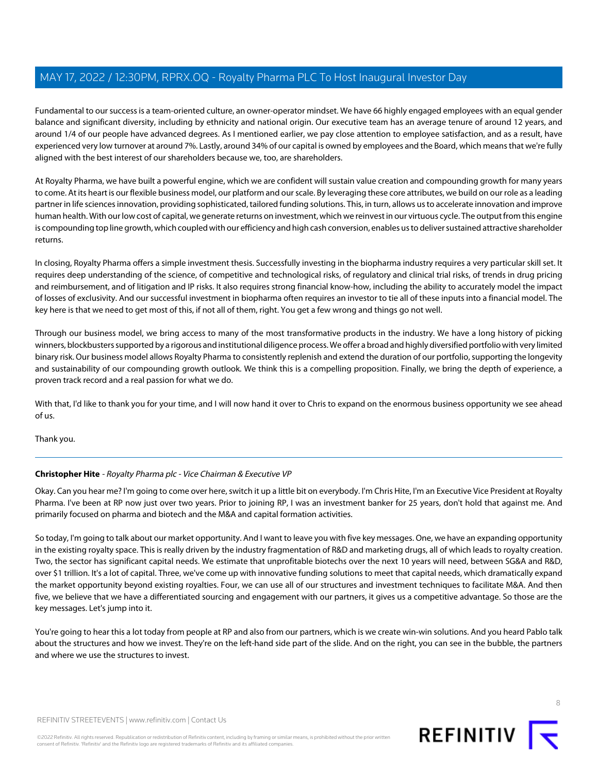Fundamental to our success is a team-oriented culture, an owner-operator mindset. We have 66 highly engaged employees with an equal gender balance and significant diversity, including by ethnicity and national origin. Our executive team has an average tenure of around 12 years, and around 1/4 of our people have advanced degrees. As I mentioned earlier, we pay close attention to employee satisfaction, and as a result, have experienced very low turnover at around 7%. Lastly, around 34% of our capital is owned by employees and the Board, which means that we're fully aligned with the best interest of our shareholders because we, too, are shareholders.

At Royalty Pharma, we have built a powerful engine, which we are confident will sustain value creation and compounding growth for many years to come. At its heart is our flexible business model, our platform and our scale. By leveraging these core attributes, we build on our role as a leading partner in life sciences innovation, providing sophisticated, tailored funding solutions. This, in turn, allows us to accelerate innovation and improve human health. With our low cost of capital, we generate returns on investment, which we reinvest in our virtuous cycle. The output from this engine is compounding top line growth, which coupled with our efficiency and high cash conversion, enables us to deliver sustained attractive shareholder returns.

In closing, Royalty Pharma offers a simple investment thesis. Successfully investing in the biopharma industry requires a very particular skill set. It requires deep understanding of the science, of competitive and technological risks, of regulatory and clinical trial risks, of trends in drug pricing and reimbursement, and of litigation and IP risks. It also requires strong financial know-how, including the ability to accurately model the impact of losses of exclusivity. And our successful investment in biopharma often requires an investor to tie all of these inputs into a financial model. The key here is that we need to get most of this, if not all of them, right. You get a few wrong and things go not well.

Through our business model, we bring access to many of the most transformative products in the industry. We have a long history of picking winners, blockbusters supported by a rigorous and institutional diligence process. We offer a broad and highly diversified portfolio with very limited binary risk. Our business model allows Royalty Pharma to consistently replenish and extend the duration of our portfolio, supporting the longevity and sustainability of our compounding growth outlook. We think this is a compelling proposition. Finally, we bring the depth of experience, a proven track record and a real passion for what we do.

With that, I'd like to thank you for your time, and I will now hand it over to Chris to expand on the enormous business opportunity we see ahead of us.

<span id="page-7-0"></span>Thank you.

#### **Christopher Hite** - Royalty Pharma plc - Vice Chairman & Executive VP

Okay. Can you hear me? I'm going to come over here, switch it up a little bit on everybody. I'm Chris Hite, I'm an Executive Vice President at Royalty Pharma. I've been at RP now just over two years. Prior to joining RP, I was an investment banker for 25 years, don't hold that against me. And primarily focused on pharma and biotech and the M&A and capital formation activities.

So today, I'm going to talk about our market opportunity. And I want to leave you with five key messages. One, we have an expanding opportunity in the existing royalty space. This is really driven by the industry fragmentation of R&D and marketing drugs, all of which leads to royalty creation. Two, the sector has significant capital needs. We estimate that unprofitable biotechs over the next 10 years will need, between SG&A and R&D, over \$1 trillion. It's a lot of capital. Three, we've come up with innovative funding solutions to meet that capital needs, which dramatically expand the market opportunity beyond existing royalties. Four, we can use all of our structures and investment techniques to facilitate M&A. And then five, we believe that we have a differentiated sourcing and engagement with our partners, it gives us a competitive advantage. So those are the key messages. Let's jump into it.

You're going to hear this a lot today from people at RP and also from our partners, which is we create win-win solutions. And you heard Pablo talk about the structures and how we invest. They're on the left-hand side part of the slide. And on the right, you can see in the bubble, the partners and where we use the structures to invest.

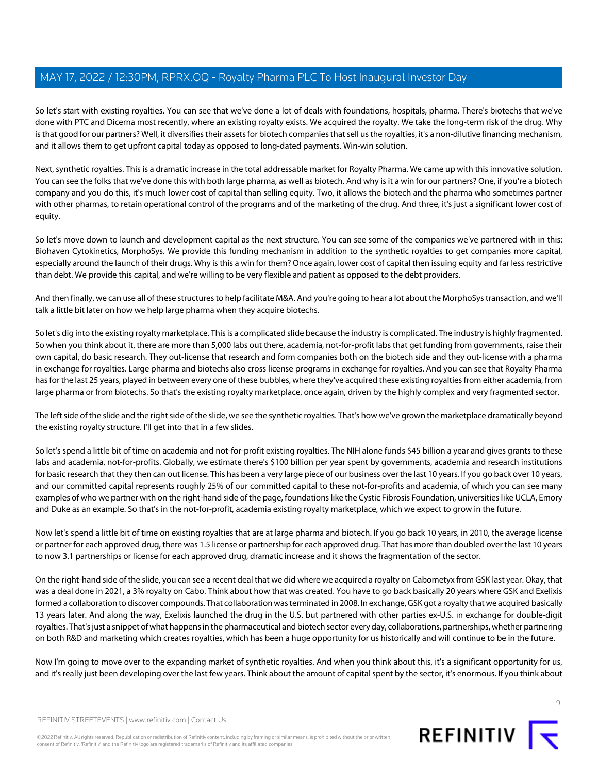So let's start with existing royalties. You can see that we've done a lot of deals with foundations, hospitals, pharma. There's biotechs that we've done with PTC and Dicerna most recently, where an existing royalty exists. We acquired the royalty. We take the long-term risk of the drug. Why is that good for our partners? Well, it diversifies their assets for biotech companies that sell us the royalties, it's a non-dilutive financing mechanism, and it allows them to get upfront capital today as opposed to long-dated payments. Win-win solution.

Next, synthetic royalties. This is a dramatic increase in the total addressable market for Royalty Pharma. We came up with this innovative solution. You can see the folks that we've done this with both large pharma, as well as biotech. And why is it a win for our partners? One, if you're a biotech company and you do this, it's much lower cost of capital than selling equity. Two, it allows the biotech and the pharma who sometimes partner with other pharmas, to retain operational control of the programs and of the marketing of the drug. And three, it's just a significant lower cost of equity.

So let's move down to launch and development capital as the next structure. You can see some of the companies we've partnered with in this: Biohaven Cytokinetics, MorphoSys. We provide this funding mechanism in addition to the synthetic royalties to get companies more capital, especially around the launch of their drugs. Why is this a win for them? Once again, lower cost of capital then issuing equity and far less restrictive than debt. We provide this capital, and we're willing to be very flexible and patient as opposed to the debt providers.

And then finally, we can use all of these structures to help facilitate M&A. And you're going to hear a lot about the MorphoSys transaction, and we'll talk a little bit later on how we help large pharma when they acquire biotechs.

So let's dig into the existing royalty marketplace. This is a complicated slide because the industry is complicated. The industry is highly fragmented. So when you think about it, there are more than 5,000 labs out there, academia, not-for-profit labs that get funding from governments, raise their own capital, do basic research. They out-license that research and form companies both on the biotech side and they out-license with a pharma in exchange for royalties. Large pharma and biotechs also cross license programs in exchange for royalties. And you can see that Royalty Pharma has for the last 25 years, played in between every one of these bubbles, where they've acquired these existing royalties from either academia, from large pharma or from biotechs. So that's the existing royalty marketplace, once again, driven by the highly complex and very fragmented sector.

The left side of the slide and the right side of the slide, we see the synthetic royalties. That's how we've grown the marketplace dramatically beyond the existing royalty structure. I'll get into that in a few slides.

So let's spend a little bit of time on academia and not-for-profit existing royalties. The NIH alone funds \$45 billion a year and gives grants to these labs and academia, not-for-profits. Globally, we estimate there's \$100 billion per year spent by governments, academia and research institutions for basic research that they then can out license. This has been a very large piece of our business over the last 10 years. If you go back over 10 years, and our committed capital represents roughly 25% of our committed capital to these not-for-profits and academia, of which you can see many examples of who we partner with on the right-hand side of the page, foundations like the Cystic Fibrosis Foundation, universities like UCLA, Emory and Duke as an example. So that's in the not-for-profit, academia existing royalty marketplace, which we expect to grow in the future.

Now let's spend a little bit of time on existing royalties that are at large pharma and biotech. If you go back 10 years, in 2010, the average license or partner for each approved drug, there was 1.5 license or partnership for each approved drug. That has more than doubled over the last 10 years to now 3.1 partnerships or license for each approved drug, dramatic increase and it shows the fragmentation of the sector.

On the right-hand side of the slide, you can see a recent deal that we did where we acquired a royalty on Cabometyx from GSK last year. Okay, that was a deal done in 2021, a 3% royalty on Cabo. Think about how that was created. You have to go back basically 20 years where GSK and Exelixis formed a collaboration to discover compounds. That collaboration was terminated in 2008. In exchange, GSK got a royalty that we acquired basically 13 years later. And along the way, Exelixis launched the drug in the U.S. but partnered with other parties ex-U.S. in exchange for double-digit royalties. That's just a snippet of what happens in the pharmaceutical and biotech sector every day, collaborations, partnerships, whether partnering on both R&D and marketing which creates royalties, which has been a huge opportunity for us historically and will continue to be in the future.

Now I'm going to move over to the expanding market of synthetic royalties. And when you think about this, it's a significant opportunity for us, and it's really just been developing over the last few years. Think about the amount of capital spent by the sector, it's enormous. If you think about

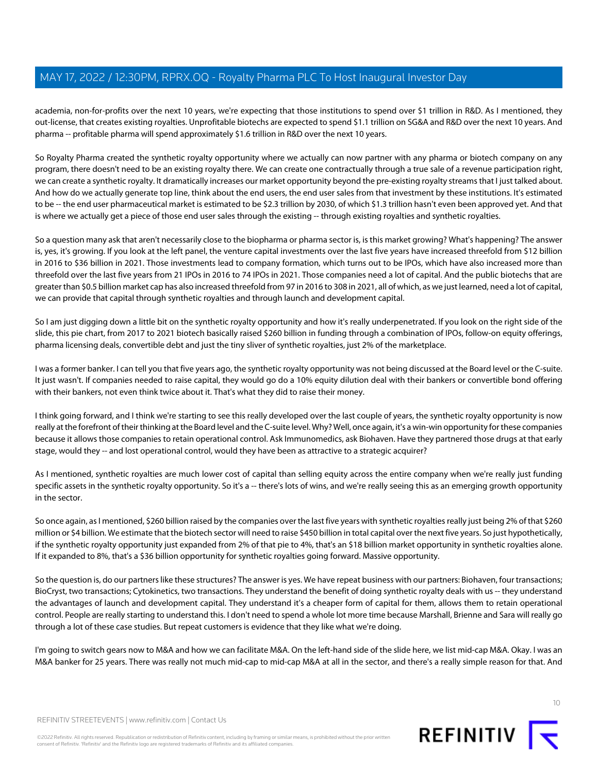academia, non-for-profits over the next 10 years, we're expecting that those institutions to spend over \$1 trillion in R&D. As I mentioned, they out-license, that creates existing royalties. Unprofitable biotechs are expected to spend \$1.1 trillion on SG&A and R&D over the next 10 years. And pharma -- profitable pharma will spend approximately \$1.6 trillion in R&D over the next 10 years.

So Royalty Pharma created the synthetic royalty opportunity where we actually can now partner with any pharma or biotech company on any program, there doesn't need to be an existing royalty there. We can create one contractually through a true sale of a revenue participation right, we can create a synthetic royalty. It dramatically increases our market opportunity beyond the pre-existing royalty streams that I just talked about. And how do we actually generate top line, think about the end users, the end user sales from that investment by these institutions. It's estimated to be -- the end user pharmaceutical market is estimated to be \$2.3 trillion by 2030, of which \$1.3 trillion hasn't even been approved yet. And that is where we actually get a piece of those end user sales through the existing -- through existing royalties and synthetic royalties.

So a question many ask that aren't necessarily close to the biopharma or pharma sector is, is this market growing? What's happening? The answer is, yes, it's growing. If you look at the left panel, the venture capital investments over the last five years have increased threefold from \$12 billion in 2016 to \$36 billion in 2021. Those investments lead to company formation, which turns out to be IPOs, which have also increased more than threefold over the last five years from 21 IPOs in 2016 to 74 IPOs in 2021. Those companies need a lot of capital. And the public biotechs that are greater than \$0.5 billion market cap has also increased threefold from 97 in 2016 to 308 in 2021, all of which, as we just learned, need a lot of capital, we can provide that capital through synthetic royalties and through launch and development capital.

So I am just digging down a little bit on the synthetic royalty opportunity and how it's really underpenetrated. If you look on the right side of the slide, this pie chart, from 2017 to 2021 biotech basically raised \$260 billion in funding through a combination of IPOs, follow-on equity offerings, pharma licensing deals, convertible debt and just the tiny sliver of synthetic royalties, just 2% of the marketplace.

I was a former banker. I can tell you that five years ago, the synthetic royalty opportunity was not being discussed at the Board level or the C-suite. It just wasn't. If companies needed to raise capital, they would go do a 10% equity dilution deal with their bankers or convertible bond offering with their bankers, not even think twice about it. That's what they did to raise their money.

I think going forward, and I think we're starting to see this really developed over the last couple of years, the synthetic royalty opportunity is now really at the forefront of their thinking at the Board level and the C-suite level. Why? Well, once again, it's a win-win opportunity for these companies because it allows those companies to retain operational control. Ask Immunomedics, ask Biohaven. Have they partnered those drugs at that early stage, would they -- and lost operational control, would they have been as attractive to a strategic acquirer?

As I mentioned, synthetic royalties are much lower cost of capital than selling equity across the entire company when we're really just funding specific assets in the synthetic royalty opportunity. So it's a -- there's lots of wins, and we're really seeing this as an emerging growth opportunity in the sector.

So once again, as I mentioned, \$260 billion raised by the companies over the last five years with synthetic royalties really just being 2% of that \$260 million or \$4 billion. We estimate that the biotech sector will need to raise \$450 billion in total capital over the next five years. So just hypothetically, if the synthetic royalty opportunity just expanded from 2% of that pie to 4%, that's an \$18 billion market opportunity in synthetic royalties alone. If it expanded to 8%, that's a \$36 billion opportunity for synthetic royalties going forward. Massive opportunity.

So the question is, do our partners like these structures? The answer is yes. We have repeat business with our partners: Biohaven, four transactions; BioCryst, two transactions; Cytokinetics, two transactions. They understand the benefit of doing synthetic royalty deals with us -- they understand the advantages of launch and development capital. They understand it's a cheaper form of capital for them, allows them to retain operational control. People are really starting to understand this. I don't need to spend a whole lot more time because Marshall, Brienne and Sara will really go through a lot of these case studies. But repeat customers is evidence that they like what we're doing.

I'm going to switch gears now to M&A and how we can facilitate M&A. On the left-hand side of the slide here, we list mid-cap M&A. Okay. I was an M&A banker for 25 years. There was really not much mid-cap to mid-cap M&A at all in the sector, and there's a really simple reason for that. And

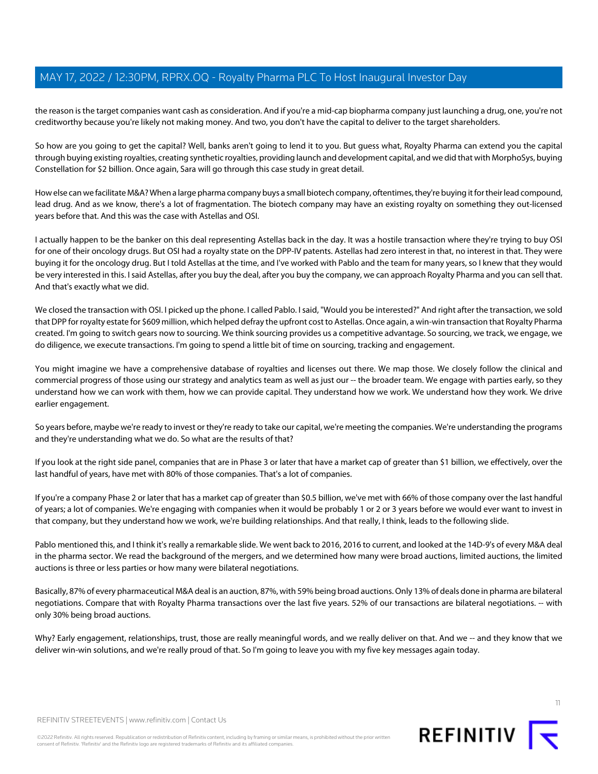the reason is the target companies want cash as consideration. And if you're a mid-cap biopharma company just launching a drug, one, you're not creditworthy because you're likely not making money. And two, you don't have the capital to deliver to the target shareholders.

So how are you going to get the capital? Well, banks aren't going to lend it to you. But guess what, Royalty Pharma can extend you the capital through buying existing royalties, creating synthetic royalties, providing launch and development capital, and we did that with MorphoSys, buying Constellation for \$2 billion. Once again, Sara will go through this case study in great detail.

How else can we facilitate M&A? When a large pharma company buys a small biotech company, oftentimes, they're buying it for their lead compound, lead drug. And as we know, there's a lot of fragmentation. The biotech company may have an existing royalty on something they out-licensed years before that. And this was the case with Astellas and OSI.

I actually happen to be the banker on this deal representing Astellas back in the day. It was a hostile transaction where they're trying to buy OSI for one of their oncology drugs. But OSI had a royalty state on the DPP-IV patents. Astellas had zero interest in that, no interest in that. They were buying it for the oncology drug. But I told Astellas at the time, and I've worked with Pablo and the team for many years, so I knew that they would be very interested in this. I said Astellas, after you buy the deal, after you buy the company, we can approach Royalty Pharma and you can sell that. And that's exactly what we did.

We closed the transaction with OSI. I picked up the phone. I called Pablo. I said, "Would you be interested?" And right after the transaction, we sold that DPP for royalty estate for \$609 million, which helped defray the upfront cost to Astellas. Once again, a win-win transaction that Royalty Pharma created. I'm going to switch gears now to sourcing. We think sourcing provides us a competitive advantage. So sourcing, we track, we engage, we do diligence, we execute transactions. I'm going to spend a little bit of time on sourcing, tracking and engagement.

You might imagine we have a comprehensive database of royalties and licenses out there. We map those. We closely follow the clinical and commercial progress of those using our strategy and analytics team as well as just our -- the broader team. We engage with parties early, so they understand how we can work with them, how we can provide capital. They understand how we work. We understand how they work. We drive earlier engagement.

So years before, maybe we're ready to invest or they're ready to take our capital, we're meeting the companies. We're understanding the programs and they're understanding what we do. So what are the results of that?

If you look at the right side panel, companies that are in Phase 3 or later that have a market cap of greater than \$1 billion, we effectively, over the last handful of years, have met with 80% of those companies. That's a lot of companies.

If you're a company Phase 2 or later that has a market cap of greater than \$0.5 billion, we've met with 66% of those company over the last handful of years; a lot of companies. We're engaging with companies when it would be probably 1 or 2 or 3 years before we would ever want to invest in that company, but they understand how we work, we're building relationships. And that really, I think, leads to the following slide.

Pablo mentioned this, and I think it's really a remarkable slide. We went back to 2016, 2016 to current, and looked at the 14D-9's of every M&A deal in the pharma sector. We read the background of the mergers, and we determined how many were broad auctions, limited auctions, the limited auctions is three or less parties or how many were bilateral negotiations.

Basically, 87% of every pharmaceutical M&A deal is an auction, 87%, with 59% being broad auctions. Only 13% of deals done in pharma are bilateral negotiations. Compare that with Royalty Pharma transactions over the last five years. 52% of our transactions are bilateral negotiations. -- with only 30% being broad auctions.

Why? Early engagement, relationships, trust, those are really meaningful words, and we really deliver on that. And we -- and they know that we deliver win-win solutions, and we're really proud of that. So I'm going to leave you with my five key messages again today.



REFINITIV STREETEVENTS | [www.refinitiv.com](https://www.refinitiv.com/) | [Contact Us](https://www.refinitiv.com/en/contact-us)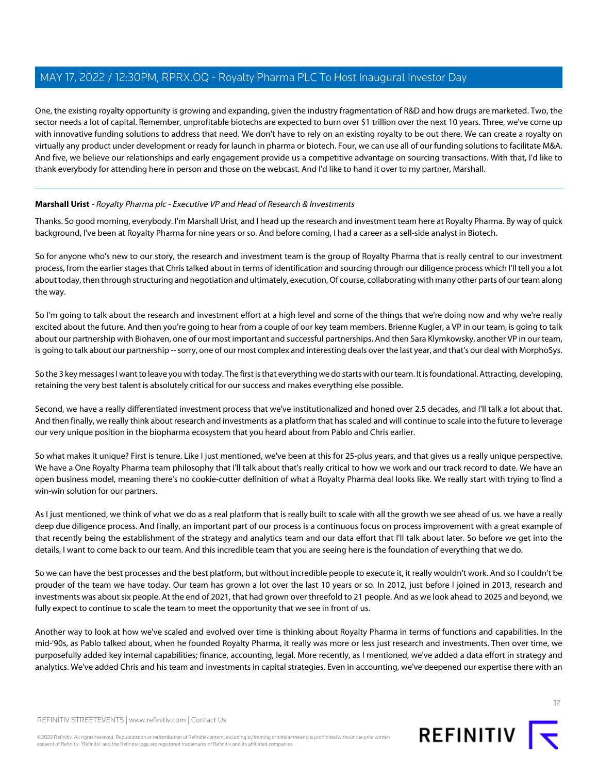One, the existing royalty opportunity is growing and expanding, given the industry fragmentation of R&D and how drugs are marketed. Two, the sector needs a lot of capital. Remember, unprofitable biotechs are expected to burn over \$1 trillion over the next 10 years. Three, we've come up with innovative funding solutions to address that need. We don't have to rely on an existing royalty to be out there. We can create a royalty on virtually any product under development or ready for launch in pharma or biotech. Four, we can use all of our funding solutions to facilitate M&A. And five, we believe our relationships and early engagement provide us a competitive advantage on sourcing transactions. With that, I'd like to thank everybody for attending here in person and those on the webcast. And I'd like to hand it over to my partner, Marshall.

#### <span id="page-11-0"></span>**Marshall Urist** - Royalty Pharma plc - Executive VP and Head of Research & Investments

Thanks. So good morning, everybody. I'm Marshall Urist, and I head up the research and investment team here at Royalty Pharma. By way of quick background, I've been at Royalty Pharma for nine years or so. And before coming, I had a career as a sell-side analyst in Biotech.

So for anyone who's new to our story, the research and investment team is the group of Royalty Pharma that is really central to our investment process, from the earlier stages that Chris talked about in terms of identification and sourcing through our diligence process which I'll tell you a lot about today, then through structuring and negotiation and ultimately, execution, Of course, collaborating with many other parts of our team along the way.

So I'm going to talk about the research and investment effort at a high level and some of the things that we're doing now and why we're really excited about the future. And then you're going to hear from a couple of our key team members. Brienne Kugler, a VP in our team, is going to talk about our partnership with Biohaven, one of our most important and successful partnerships. And then Sara Klymkowsky, another VP in our team, is going to talk about our partnership -- sorry, one of our most complex and interesting deals over the last year, and that's our deal with MorphoSys.

So the 3 key messages I want to leave you with today. The first is that everything we do starts with our team. It is foundational. Attracting, developing, retaining the very best talent is absolutely critical for our success and makes everything else possible.

Second, we have a really differentiated investment process that we've institutionalized and honed over 2.5 decades, and I'll talk a lot about that. And then finally, we really think about research and investments as a platform that has scaled and will continue to scale into the future to leverage our very unique position in the biopharma ecosystem that you heard about from Pablo and Chris earlier.

So what makes it unique? First is tenure. Like I just mentioned, we've been at this for 25-plus years, and that gives us a really unique perspective. We have a One Royalty Pharma team philosophy that I'll talk about that's really critical to how we work and our track record to date. We have an open business model, meaning there's no cookie-cutter definition of what a Royalty Pharma deal looks like. We really start with trying to find a win-win solution for our partners.

As I just mentioned, we think of what we do as a real platform that is really built to scale with all the growth we see ahead of us. we have a really deep due diligence process. And finally, an important part of our process is a continuous focus on process improvement with a great example of that recently being the establishment of the strategy and analytics team and our data effort that I'll talk about later. So before we get into the details, I want to come back to our team. And this incredible team that you are seeing here is the foundation of everything that we do.

So we can have the best processes and the best platform, but without incredible people to execute it, it really wouldn't work. And so I couldn't be prouder of the team we have today. Our team has grown a lot over the last 10 years or so. In 2012, just before I joined in 2013, research and investments was about six people. At the end of 2021, that had grown over threefold to 21 people. And as we look ahead to 2025 and beyond, we fully expect to continue to scale the team to meet the opportunity that we see in front of us.

Another way to look at how we've scaled and evolved over time is thinking about Royalty Pharma in terms of functions and capabilities. In the mid-'90s, as Pablo talked about, when he founded Royalty Pharma, it really was more or less just research and investments. Then over time, we purposefully added key internal capabilities; finance, accounting, legal. More recently, as I mentioned, we've added a data effort in strategy and analytics. We've added Chris and his team and investments in capital strategies. Even in accounting, we've deepened our expertise there with an



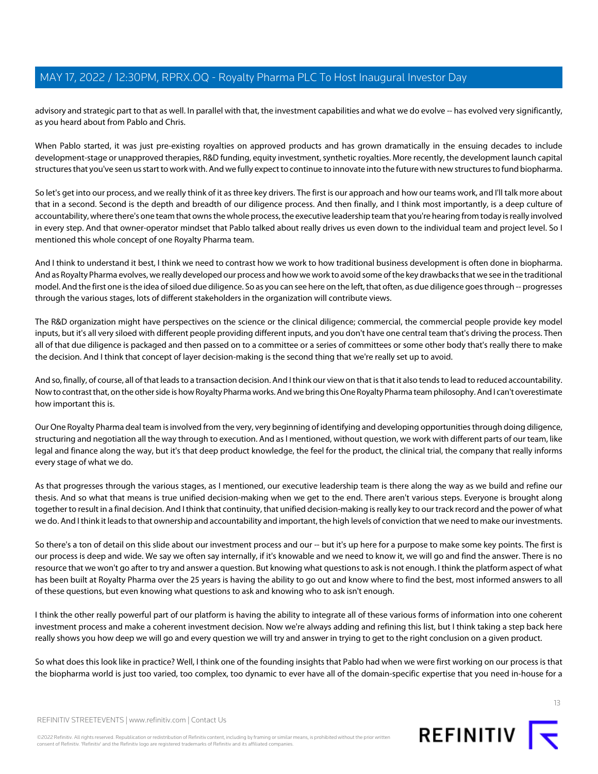advisory and strategic part to that as well. In parallel with that, the investment capabilities and what we do evolve -- has evolved very significantly, as you heard about from Pablo and Chris.

When Pablo started, it was just pre-existing royalties on approved products and has grown dramatically in the ensuing decades to include development-stage or unapproved therapies, R&D funding, equity investment, synthetic royalties. More recently, the development launch capital structures that you've seen us start to work with. And we fully expect to continue to innovate into the future with new structures to fund biopharma.

So let's get into our process, and we really think of it as three key drivers. The first is our approach and how our teams work, and I'll talk more about that in a second. Second is the depth and breadth of our diligence process. And then finally, and I think most importantly, is a deep culture of accountability, where there's one team that owns the whole process, the executive leadership team that you're hearing from today is really involved in every step. And that owner-operator mindset that Pablo talked about really drives us even down to the individual team and project level. So I mentioned this whole concept of one Royalty Pharma team.

And I think to understand it best, I think we need to contrast how we work to how traditional business development is often done in biopharma. And as Royalty Pharma evolves, we really developed our process and how we work to avoid some of the key drawbacks that we see in the traditional model. And the first one is the idea of siloed due diligence. So as you can see here on the left, that often, as due diligence goes through -- progresses through the various stages, lots of different stakeholders in the organization will contribute views.

The R&D organization might have perspectives on the science or the clinical diligence; commercial, the commercial people provide key model inputs, but it's all very siloed with different people providing different inputs, and you don't have one central team that's driving the process. Then all of that due diligence is packaged and then passed on to a committee or a series of committees or some other body that's really there to make the decision. And I think that concept of layer decision-making is the second thing that we're really set up to avoid.

And so, finally, of course, all of that leads to a transaction decision. And I think our view on that is that it also tends to lead to reduced accountability. Now to contrast that, on the other side is how Royalty Pharma works. And we bring this One Royalty Pharma team philosophy. And I can't overestimate how important this is.

Our One Royalty Pharma deal team is involved from the very, very beginning of identifying and developing opportunities through doing diligence, structuring and negotiation all the way through to execution. And as I mentioned, without question, we work with different parts of our team, like legal and finance along the way, but it's that deep product knowledge, the feel for the product, the clinical trial, the company that really informs every stage of what we do.

As that progresses through the various stages, as I mentioned, our executive leadership team is there along the way as we build and refine our thesis. And so what that means is true unified decision-making when we get to the end. There aren't various steps. Everyone is brought along together to result in a final decision. And I think that continuity, that unified decision-making is really key to our track record and the power of what we do. And I think it leads to that ownership and accountability and important, the high levels of conviction that we need to make our investments.

So there's a ton of detail on this slide about our investment process and our -- but it's up here for a purpose to make some key points. The first is our process is deep and wide. We say we often say internally, if it's knowable and we need to know it, we will go and find the answer. There is no resource that we won't go after to try and answer a question. But knowing what questions to ask is not enough. I think the platform aspect of what has been built at Royalty Pharma over the 25 years is having the ability to go out and know where to find the best, most informed answers to all of these questions, but even knowing what questions to ask and knowing who to ask isn't enough.

I think the other really powerful part of our platform is having the ability to integrate all of these various forms of information into one coherent investment process and make a coherent investment decision. Now we're always adding and refining this list, but I think taking a step back here really shows you how deep we will go and every question we will try and answer in trying to get to the right conclusion on a given product.

So what does this look like in practice? Well, I think one of the founding insights that Pablo had when we were first working on our process is that the biopharma world is just too varied, too complex, too dynamic to ever have all of the domain-specific expertise that you need in-house for a



REFINITIV STREETEVENTS | [www.refinitiv.com](https://www.refinitiv.com/) | [Contact Us](https://www.refinitiv.com/en/contact-us)

©2022 Refinitiv. All rights reserved. Republication or redistribution of Refinitiv content, including by framing or similar means, is prohibited without the prior written consent of Refinitiv. 'Refinitiv' and the Refinitiv logo are registered trademarks of Refinitiv and its affiliated companies.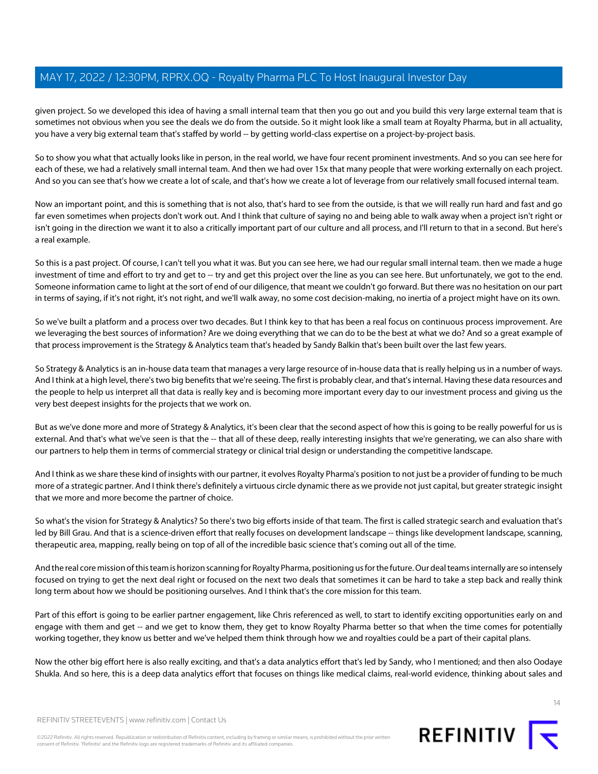given project. So we developed this idea of having a small internal team that then you go out and you build this very large external team that is sometimes not obvious when you see the deals we do from the outside. So it might look like a small team at Royalty Pharma, but in all actuality, you have a very big external team that's staffed by world -- by getting world-class expertise on a project-by-project basis.

So to show you what that actually looks like in person, in the real world, we have four recent prominent investments. And so you can see here for each of these, we had a relatively small internal team. And then we had over 15x that many people that were working externally on each project. And so you can see that's how we create a lot of scale, and that's how we create a lot of leverage from our relatively small focused internal team.

Now an important point, and this is something that is not also, that's hard to see from the outside, is that we will really run hard and fast and go far even sometimes when projects don't work out. And I think that culture of saying no and being able to walk away when a project isn't right or isn't going in the direction we want it to also a critically important part of our culture and all process, and I'll return to that in a second. But here's a real example.

So this is a past project. Of course, I can't tell you what it was. But you can see here, we had our regular small internal team. then we made a huge investment of time and effort to try and get to -- try and get this project over the line as you can see here. But unfortunately, we got to the end. Someone information came to light at the sort of end of our diligence, that meant we couldn't go forward. But there was no hesitation on our part in terms of saying, if it's not right, it's not right, and we'll walk away, no some cost decision-making, no inertia of a project might have on its own.

So we've built a platform and a process over two decades. But I think key to that has been a real focus on continuous process improvement. Are we leveraging the best sources of information? Are we doing everything that we can do to be the best at what we do? And so a great example of that process improvement is the Strategy & Analytics team that's headed by Sandy Balkin that's been built over the last few years.

So Strategy & Analytics is an in-house data team that manages a very large resource of in-house data that is really helping us in a number of ways. And I think at a high level, there's two big benefits that we're seeing. The first is probably clear, and that's internal. Having these data resources and the people to help us interpret all that data is really key and is becoming more important every day to our investment process and giving us the very best deepest insights for the projects that we work on.

But as we've done more and more of Strategy & Analytics, it's been clear that the second aspect of how this is going to be really powerful for us is external. And that's what we've seen is that the -- that all of these deep, really interesting insights that we're generating, we can also share with our partners to help them in terms of commercial strategy or clinical trial design or understanding the competitive landscape.

And I think as we share these kind of insights with our partner, it evolves Royalty Pharma's position to not just be a provider of funding to be much more of a strategic partner. And I think there's definitely a virtuous circle dynamic there as we provide not just capital, but greater strategic insight that we more and more become the partner of choice.

So what's the vision for Strategy & Analytics? So there's two big efforts inside of that team. The first is called strategic search and evaluation that's led by Bill Grau. And that is a science-driven effort that really focuses on development landscape -- things like development landscape, scanning, therapeutic area, mapping, really being on top of all of the incredible basic science that's coming out all of the time.

And the real core mission of this team is horizon scanning for Royalty Pharma, positioning us for the future. Our deal teams internally are so intensely focused on trying to get the next deal right or focused on the next two deals that sometimes it can be hard to take a step back and really think long term about how we should be positioning ourselves. And I think that's the core mission for this team.

Part of this effort is going to be earlier partner engagement, like Chris referenced as well, to start to identify exciting opportunities early on and engage with them and get -- and we get to know them, they get to know Royalty Pharma better so that when the time comes for potentially working together, they know us better and we've helped them think through how we and royalties could be a part of their capital plans.

Now the other big effort here is also really exciting, and that's a data analytics effort that's led by Sandy, who I mentioned; and then also Oodaye Shukla. And so here, this is a deep data analytics effort that focuses on things like medical claims, real-world evidence, thinking about sales and



REFINITIV STREETEVENTS | [www.refinitiv.com](https://www.refinitiv.com/) | [Contact Us](https://www.refinitiv.com/en/contact-us)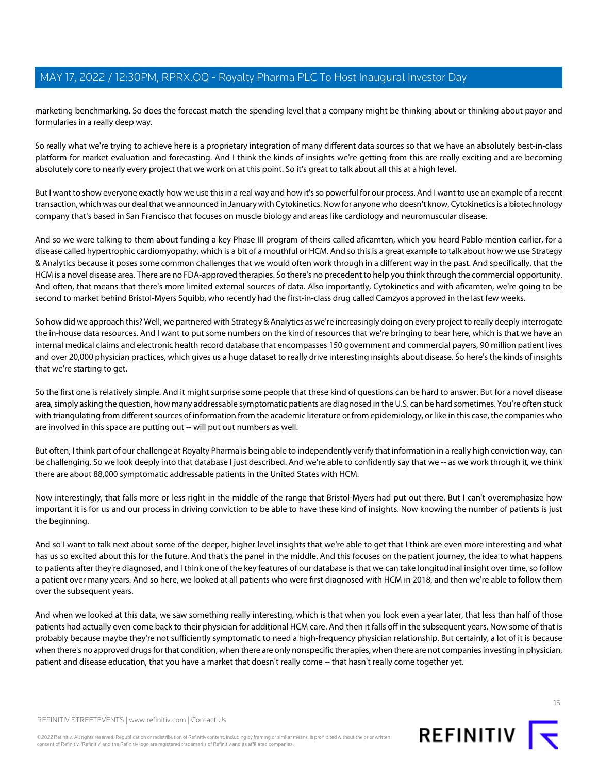marketing benchmarking. So does the forecast match the spending level that a company might be thinking about or thinking about payor and formularies in a really deep way.

So really what we're trying to achieve here is a proprietary integration of many different data sources so that we have an absolutely best-in-class platform for market evaluation and forecasting. And I think the kinds of insights we're getting from this are really exciting and are becoming absolutely core to nearly every project that we work on at this point. So it's great to talk about all this at a high level.

But I want to show everyone exactly how we use this in a real way and how it's so powerful for our process. And I want to use an example of a recent transaction, which was our deal that we announced in January with Cytokinetics. Now for anyone who doesn't know, Cytokinetics is a biotechnology company that's based in San Francisco that focuses on muscle biology and areas like cardiology and neuromuscular disease.

And so we were talking to them about funding a key Phase III program of theirs called aficamten, which you heard Pablo mention earlier, for a disease called hypertrophic cardiomyopathy, which is a bit of a mouthful or HCM. And so this is a great example to talk about how we use Strategy & Analytics because it poses some common challenges that we would often work through in a different way in the past. And specifically, that the HCM is a novel disease area. There are no FDA-approved therapies. So there's no precedent to help you think through the commercial opportunity. And often, that means that there's more limited external sources of data. Also importantly, Cytokinetics and with aficamten, we're going to be second to market behind Bristol-Myers Squibb, who recently had the first-in-class drug called Camzyos approved in the last few weeks.

So how did we approach this? Well, we partnered with Strategy & Analytics as we're increasingly doing on every project to really deeply interrogate the in-house data resources. And I want to put some numbers on the kind of resources that we're bringing to bear here, which is that we have an internal medical claims and electronic health record database that encompasses 150 government and commercial payers, 90 million patient lives and over 20,000 physician practices, which gives us a huge dataset to really drive interesting insights about disease. So here's the kinds of insights that we're starting to get.

So the first one is relatively simple. And it might surprise some people that these kind of questions can be hard to answer. But for a novel disease area, simply asking the question, how many addressable symptomatic patients are diagnosed in the U.S. can be hard sometimes. You're often stuck with triangulating from different sources of information from the academic literature or from epidemiology, or like in this case, the companies who are involved in this space are putting out -- will put out numbers as well.

But often, I think part of our challenge at Royalty Pharma is being able to independently verify that information in a really high conviction way, can be challenging. So we look deeply into that database I just described. And we're able to confidently say that we -- as we work through it, we think there are about 88,000 symptomatic addressable patients in the United States with HCM.

Now interestingly, that falls more or less right in the middle of the range that Bristol-Myers had put out there. But I can't overemphasize how important it is for us and our process in driving conviction to be able to have these kind of insights. Now knowing the number of patients is just the beginning.

And so I want to talk next about some of the deeper, higher level insights that we're able to get that I think are even more interesting and what has us so excited about this for the future. And that's the panel in the middle. And this focuses on the patient journey, the idea to what happens to patients after they're diagnosed, and I think one of the key features of our database is that we can take longitudinal insight over time, so follow a patient over many years. And so here, we looked at all patients who were first diagnosed with HCM in 2018, and then we're able to follow them over the subsequent years.

And when we looked at this data, we saw something really interesting, which is that when you look even a year later, that less than half of those patients had actually even come back to their physician for additional HCM care. And then it falls off in the subsequent years. Now some of that is probably because maybe they're not sufficiently symptomatic to need a high-frequency physician relationship. But certainly, a lot of it is because when there's no approved drugs for that condition, when there are only nonspecific therapies, when there are not companies investing in physician, patient and disease education, that you have a market that doesn't really come -- that hasn't really come together yet.

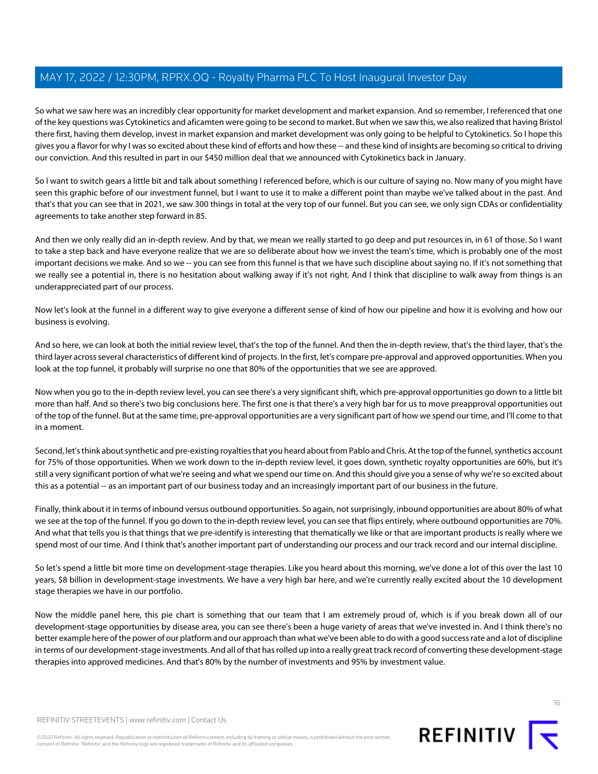So what we saw here was an incredibly clear opportunity for market development and market expansion. And so remember, I referenced that one of the key questions was Cytokinetics and aficamten were going to be second to market. But when we saw this, we also realized that having Bristol there first, having them develop, invest in market expansion and market development was only going to be helpful to Cytokinetics. So I hope this gives you a flavor for why I was so excited about these kind of efforts and how these -- and these kind of insights are becoming so critical to driving our conviction. And this resulted in part in our \$450 million deal that we announced with Cytokinetics back in January.

So I want to switch gears a little bit and talk about something I referenced before, which is our culture of saying no. Now many of you might have seen this graphic before of our investment funnel, but I want to use it to make a different point than maybe we've talked about in the past. And that's that you can see that in 2021, we saw 300 things in total at the very top of our funnel. But you can see, we only sign CDAs or confidentiality agreements to take another step forward in 85.

And then we only really did an in-depth review. And by that, we mean we really started to go deep and put resources in, in 61 of those. So I want to take a step back and have everyone realize that we are so deliberate about how we invest the team's time, which is probably one of the most important decisions we make. And so we -- you can see from this funnel is that we have such discipline about saying no. If it's not something that we really see a potential in, there is no hesitation about walking away if it's not right. And I think that discipline to walk away from things is an underappreciated part of our process.

Now let's look at the funnel in a different way to give everyone a different sense of kind of how our pipeline and how it is evolving and how our business is evolving.

And so here, we can look at both the initial review level, that's the top of the funnel. And then the in-depth review, that's the third layer, that's the third layer across several characteristics of different kind of projects. In the first, let's compare pre-approval and approved opportunities. When you look at the top funnel, it probably will surprise no one that 80% of the opportunities that we see are approved.

Now when you go to the in-depth review level, you can see there's a very significant shift, which pre-approval opportunities go down to a little bit more than half. And so there's two big conclusions here. The first one is that there's a very high bar for us to move preapproval opportunities out of the top of the funnel. But at the same time, pre-approval opportunities are a very significant part of how we spend our time, and I'll come to that in a moment.

Second, let's think about synthetic and pre-existing royalties that you heard about from Pablo and Chris. At the top of the funnel, synthetics account for 75% of those opportunities. When we work down to the in-depth review level, it goes down, synthetic royalty opportunities are 60%, but it's still a very significant portion of what we're seeing and what we spend our time on. And this should give you a sense of why we're so excited about this as a potential -- as an important part of our business today and an increasingly important part of our business in the future.

Finally, think about it in terms of inbound versus outbound opportunities. So again, not surprisingly, inbound opportunities are about 80% of what we see at the top of the funnel. If you go down to the in-depth review level, you can see that flips entirely, where outbound opportunities are 70%. And what that tells you is that things that we pre-identify is interesting that thematically we like or that are important products is really where we spend most of our time. And I think that's another important part of understanding our process and our track record and our internal discipline.

So let's spend a little bit more time on development-stage therapies. Like you heard about this morning, we've done a lot of this over the last 10 years, \$8 billion in development-stage investments. We have a very high bar here, and we're currently really excited about the 10 development stage therapies we have in our portfolio.

Now the middle panel here, this pie chart is something that our team that I am extremely proud of, which is if you break down all of our development-stage opportunities by disease area, you can see there's been a huge variety of areas that we've invested in. And I think there's no better example here of the power of our platform and our approach than what we've been able to do with a good success rate and a lot of discipline in terms of our development-stage investments. And all of that has rolled up into a really great track record of converting these development-stage therapies into approved medicines. And that's 80% by the number of investments and 95% by investment value.



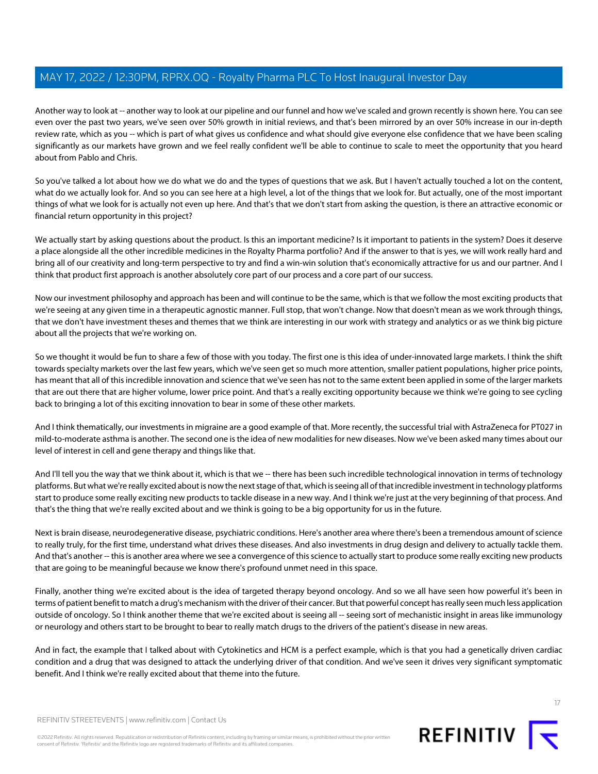Another way to look at -- another way to look at our pipeline and our funnel and how we've scaled and grown recently is shown here. You can see even over the past two years, we've seen over 50% growth in initial reviews, and that's been mirrored by an over 50% increase in our in-depth review rate, which as you -- which is part of what gives us confidence and what should give everyone else confidence that we have been scaling significantly as our markets have grown and we feel really confident we'll be able to continue to scale to meet the opportunity that you heard about from Pablo and Chris.

So you've talked a lot about how we do what we do and the types of questions that we ask. But I haven't actually touched a lot on the content, what do we actually look for. And so you can see here at a high level, a lot of the things that we look for. But actually, one of the most important things of what we look for is actually not even up here. And that's that we don't start from asking the question, is there an attractive economic or financial return opportunity in this project?

We actually start by asking questions about the product. Is this an important medicine? Is it important to patients in the system? Does it deserve a place alongside all the other incredible medicines in the Royalty Pharma portfolio? And if the answer to that is yes, we will work really hard and bring all of our creativity and long-term perspective to try and find a win-win solution that's economically attractive for us and our partner. And I think that product first approach is another absolutely core part of our process and a core part of our success.

Now our investment philosophy and approach has been and will continue to be the same, which is that we follow the most exciting products that we're seeing at any given time in a therapeutic agnostic manner. Full stop, that won't change. Now that doesn't mean as we work through things, that we don't have investment theses and themes that we think are interesting in our work with strategy and analytics or as we think big picture about all the projects that we're working on.

So we thought it would be fun to share a few of those with you today. The first one is this idea of under-innovated large markets. I think the shift towards specialty markets over the last few years, which we've seen get so much more attention, smaller patient populations, higher price points, has meant that all of this incredible innovation and science that we've seen has not to the same extent been applied in some of the larger markets that are out there that are higher volume, lower price point. And that's a really exciting opportunity because we think we're going to see cycling back to bringing a lot of this exciting innovation to bear in some of these other markets.

And I think thematically, our investments in migraine are a good example of that. More recently, the successful trial with AstraZeneca for PT027 in mild-to-moderate asthma is another. The second one is the idea of new modalities for new diseases. Now we've been asked many times about our level of interest in cell and gene therapy and things like that.

And I'll tell you the way that we think about it, which is that we -- there has been such incredible technological innovation in terms of technology platforms. But what we're really excited about is now the next stage of that, which is seeing all of that incredible investment in technology platforms start to produce some really exciting new products to tackle disease in a new way. And I think we're just at the very beginning of that process. And that's the thing that we're really excited about and we think is going to be a big opportunity for us in the future.

Next is brain disease, neurodegenerative disease, psychiatric conditions. Here's another area where there's been a tremendous amount of science to really truly, for the first time, understand what drives these diseases. And also investments in drug design and delivery to actually tackle them. And that's another -- this is another area where we see a convergence of this science to actually start to produce some really exciting new products that are going to be meaningful because we know there's profound unmet need in this space.

Finally, another thing we're excited about is the idea of targeted therapy beyond oncology. And so we all have seen how powerful it's been in terms of patient benefit to match a drug's mechanism with the driver of their cancer. But that powerful concept has really seen much less application outside of oncology. So I think another theme that we're excited about is seeing all -- seeing sort of mechanistic insight in areas like immunology or neurology and others start to be brought to bear to really match drugs to the drivers of the patient's disease in new areas.

And in fact, the example that I talked about with Cytokinetics and HCM is a perfect example, which is that you had a genetically driven cardiac condition and a drug that was designed to attack the underlying driver of that condition. And we've seen it drives very significant symptomatic benefit. And I think we're really excited about that theme into the future.

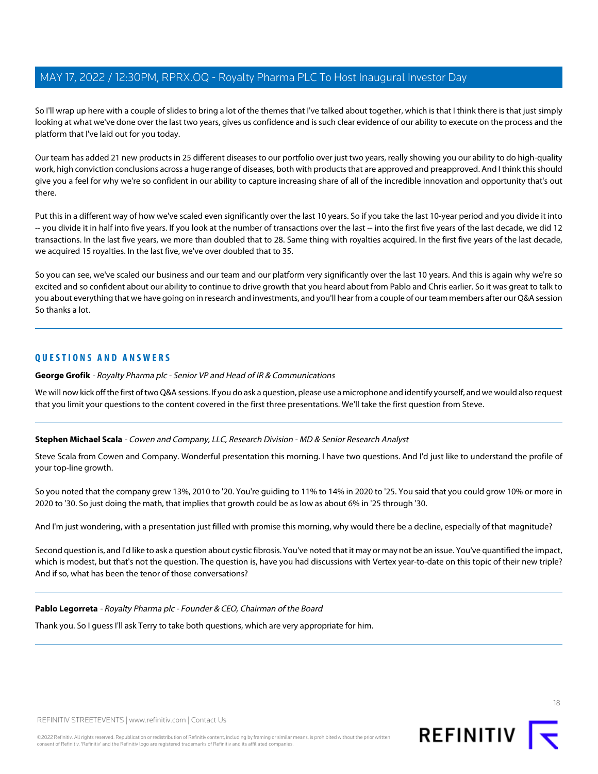So I'll wrap up here with a couple of slides to bring a lot of the themes that I've talked about together, which is that I think there is that just simply looking at what we've done over the last two years, gives us confidence and is such clear evidence of our ability to execute on the process and the platform that I've laid out for you today.

Our team has added 21 new products in 25 different diseases to our portfolio over just two years, really showing you our ability to do high-quality work, high conviction conclusions across a huge range of diseases, both with products that are approved and preapproved. And I think this should give you a feel for why we're so confident in our ability to capture increasing share of all of the incredible innovation and opportunity that's out there.

Put this in a different way of how we've scaled even significantly over the last 10 years. So if you take the last 10-year period and you divide it into -- you divide it in half into five years. If you look at the number of transactions over the last -- into the first five years of the last decade, we did 12 transactions. In the last five years, we more than doubled that to 28. Same thing with royalties acquired. In the first five years of the last decade, we acquired 15 royalties. In the last five, we've over doubled that to 35.

So you can see, we've scaled our business and our team and our platform very significantly over the last 10 years. And this is again why we're so excited and so confident about our ability to continue to drive growth that you heard about from Pablo and Chris earlier. So it was great to talk to you about everything that we have going on in research and investments, and you'll hear from a couple of our team members after our Q&A session So thanks a lot.

#### **QUESTIONS AND ANSWERS**

**George Grofik** - Royalty Pharma plc - Senior VP and Head of IR & Communications

<span id="page-17-0"></span>We will now kick off the first of two Q&A sessions. If you do ask a question, please use a microphone and identify yourself, and we would also request that you limit your questions to the content covered in the first three presentations. We'll take the first question from Steve.

#### **Stephen Michael Scala** - Cowen and Company, LLC, Research Division - MD & Senior Research Analyst

Steve Scala from Cowen and Company. Wonderful presentation this morning. I have two questions. And I'd just like to understand the profile of your top-line growth.

So you noted that the company grew 13%, 2010 to '20. You're guiding to 11% to 14% in 2020 to '25. You said that you could grow 10% or more in 2020 to '30. So just doing the math, that implies that growth could be as low as about 6% in '25 through '30.

And I'm just wondering, with a presentation just filled with promise this morning, why would there be a decline, especially of that magnitude?

Second question is, and I'd like to ask a question about cystic fibrosis. You've noted that it may or may not be an issue. You've quantified the impact, which is modest, but that's not the question. The question is, have you had discussions with Vertex year-to-date on this topic of their new triple? And if so, what has been the tenor of those conversations?

#### **Pablo Legorreta** - Royalty Pharma plc - Founder & CEO, Chairman of the Board

Thank you. So I guess I'll ask Terry to take both questions, which are very appropriate for him.





18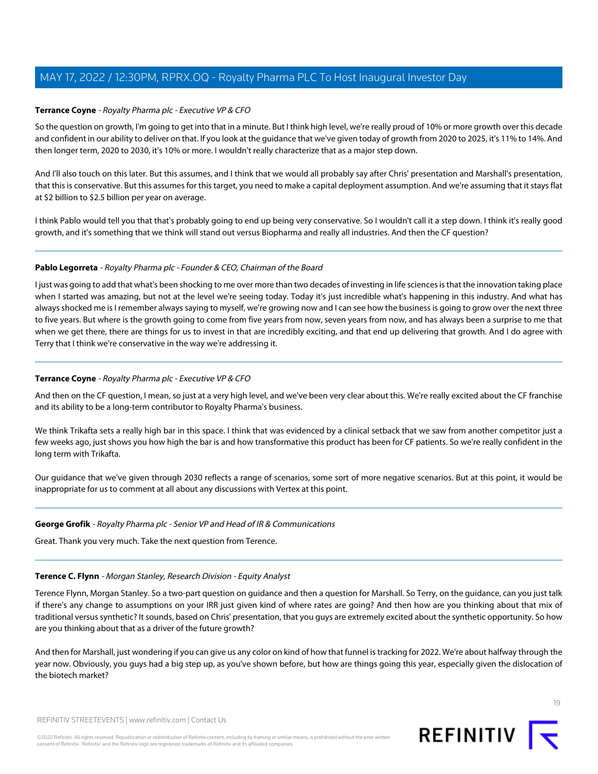#### <span id="page-18-0"></span>**Terrance Coyne** - Royalty Pharma plc - Executive VP & CFO

So the question on growth, I'm going to get into that in a minute. But I think high level, we're really proud of 10% or more growth over this decade and confident in our ability to deliver on that. If you look at the guidance that we've given today of growth from 2020 to 2025, it's 11% to 14%. And then longer term, 2020 to 2030, it's 10% or more. I wouldn't really characterize that as a major step down.

And I'll also touch on this later. But this assumes, and I think that we would all probably say after Chris' presentation and Marshall's presentation, that this is conservative. But this assumes for this target, you need to make a capital deployment assumption. And we're assuming that it stays flat at \$2 billion to \$2.5 billion per year on average.

I think Pablo would tell you that that's probably going to end up being very conservative. So I wouldn't call it a step down. I think it's really good growth, and it's something that we think will stand out versus Biopharma and really all industries. And then the CF question?

#### **Pablo Legorreta** - Royalty Pharma plc - Founder & CEO, Chairman of the Board

I just was going to add that what's been shocking to me over more than two decades of investing in life sciences is that the innovation taking place when I started was amazing, but not at the level we're seeing today. Today it's just incredible what's happening in this industry. And what has always shocked me is I remember always saying to myself, we're growing now and I can see how the business is going to grow over the next three to five years. But where is the growth going to come from five years from now, seven years from now, and has always been a surprise to me that when we get there, there are things for us to invest in that are incredibly exciting, and that end up delivering that growth. And I do agree with Terry that I think we're conservative in the way we're addressing it.

#### **Terrance Coyne** - Royalty Pharma plc - Executive VP & CFO

And then on the CF question, I mean, so just at a very high level, and we've been very clear about this. We're really excited about the CF franchise and its ability to be a long-term contributor to Royalty Pharma's business.

We think Trikafta sets a really high bar in this space. I think that was evidenced by a clinical setback that we saw from another competitor just a few weeks ago, just shows you how high the bar is and how transformative this product has been for CF patients. So we're really confident in the long term with Trikafta.

Our guidance that we've given through 2030 reflects a range of scenarios, some sort of more negative scenarios. But at this point, it would be inappropriate for us to comment at all about any discussions with Vertex at this point.

#### <span id="page-18-1"></span>**George Grofik** - Royalty Pharma plc - Senior VP and Head of IR & Communications

Great. Thank you very much. Take the next question from Terence.

#### **Terence C. Flynn** - Morgan Stanley, Research Division - Equity Analyst

Terence Flynn, Morgan Stanley. So a two-part question on guidance and then a question for Marshall. So Terry, on the guidance, can you just talk if there's any change to assumptions on your IRR just given kind of where rates are going? And then how are you thinking about that mix of traditional versus synthetic? It sounds, based on Chris' presentation, that you guys are extremely excited about the synthetic opportunity. So how are you thinking about that as a driver of the future growth?

And then for Marshall, just wondering if you can give us any color on kind of how that funnel is tracking for 2022. We're about halfway through the year now. Obviously, you guys had a big step up, as you've shown before, but how are things going this year, especially given the dislocation of the biotech market?

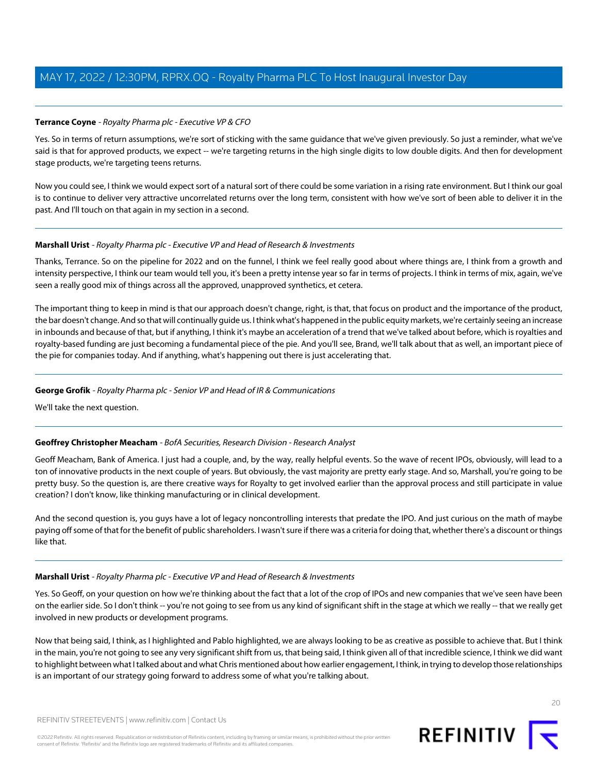#### **Terrance Coyne** - Royalty Pharma plc - Executive VP & CFO

Yes. So in terms of return assumptions, we're sort of sticking with the same guidance that we've given previously. So just a reminder, what we've said is that for approved products, we expect -- we're targeting returns in the high single digits to low double digits. And then for development stage products, we're targeting teens returns.

Now you could see, I think we would expect sort of a natural sort of there could be some variation in a rising rate environment. But I think our goal is to continue to deliver very attractive uncorrelated returns over the long term, consistent with how we've sort of been able to deliver it in the past. And I'll touch on that again in my section in a second.

#### **Marshall Urist** - Royalty Pharma plc - Executive VP and Head of Research & Investments

Thanks, Terrance. So on the pipeline for 2022 and on the funnel, I think we feel really good about where things are, I think from a growth and intensity perspective, I think our team would tell you, it's been a pretty intense year so far in terms of projects. I think in terms of mix, again, we've seen a really good mix of things across all the approved, unapproved synthetics, et cetera.

The important thing to keep in mind is that our approach doesn't change, right, is that, that focus on product and the importance of the product, the bar doesn't change. And so that will continually guide us. I think what's happened in the public equity markets, we're certainly seeing an increase in inbounds and because of that, but if anything, I think it's maybe an acceleration of a trend that we've talked about before, which is royalties and royalty-based funding are just becoming a fundamental piece of the pie. And you'll see, Brand, we'll talk about that as well, an important piece of the pie for companies today. And if anything, what's happening out there is just accelerating that.

#### **George Grofik** - Royalty Pharma plc - Senior VP and Head of IR & Communications

<span id="page-19-0"></span>We'll take the next question.

#### **Geoffrey Christopher Meacham** - BofA Securities, Research Division - Research Analyst

Geoff Meacham, Bank of America. I just had a couple, and, by the way, really helpful events. So the wave of recent IPOs, obviously, will lead to a ton of innovative products in the next couple of years. But obviously, the vast majority are pretty early stage. And so, Marshall, you're going to be pretty busy. So the question is, are there creative ways for Royalty to get involved earlier than the approval process and still participate in value creation? I don't know, like thinking manufacturing or in clinical development.

And the second question is, you guys have a lot of legacy noncontrolling interests that predate the IPO. And just curious on the math of maybe paying off some of that for the benefit of public shareholders. I wasn't sure if there was a criteria for doing that, whether there's a discount or things like that.

#### **Marshall Urist** - Royalty Pharma plc - Executive VP and Head of Research & Investments

Yes. So Geoff, on your question on how we're thinking about the fact that a lot of the crop of IPOs and new companies that we've seen have been on the earlier side. So I don't think -- you're not going to see from us any kind of significant shift in the stage at which we really -- that we really get involved in new products or development programs.

Now that being said, I think, as I highlighted and Pablo highlighted, we are always looking to be as creative as possible to achieve that. But I think in the main, you're not going to see any very significant shift from us, that being said, I think given all of that incredible science, I think we did want to highlight between what I talked about and what Chris mentioned about how earlier engagement, I think, in trying to develop those relationships is an important of our strategy going forward to address some of what you're talking about.

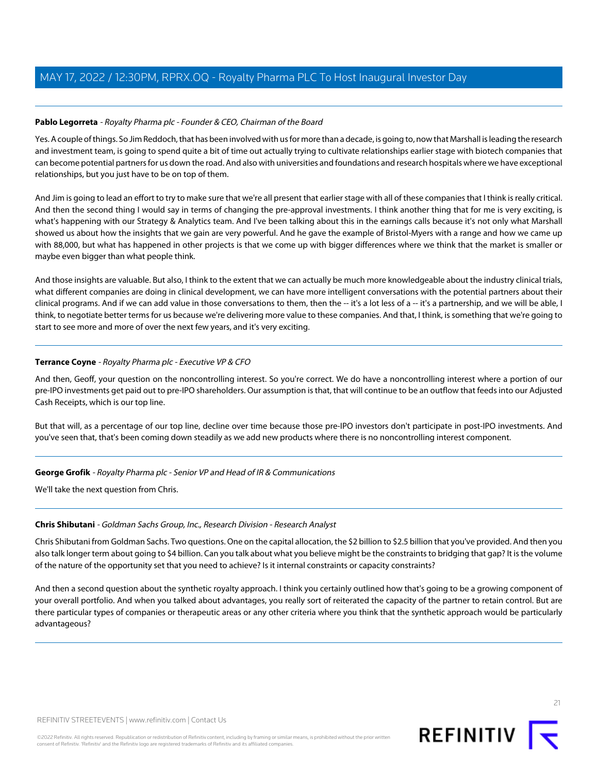#### Pablo Legorreta - Royalty Pharma plc - Founder & CEO, Chairman of the Board

Yes. A couple of things. So Jim Reddoch, that has been involved with us for more than a decade, is going to, now that Marshall is leading the research and investment team, is going to spend quite a bit of time out actually trying to cultivate relationships earlier stage with biotech companies that can become potential partners for us down the road. And also with universities and foundations and research hospitals where we have exceptional relationships, but you just have to be on top of them.

And Jim is going to lead an effort to try to make sure that we're all present that earlier stage with all of these companies that I think is really critical. And then the second thing I would say in terms of changing the pre-approval investments. I think another thing that for me is very exciting, is what's happening with our Strategy & Analytics team. And I've been talking about this in the earnings calls because it's not only what Marshall showed us about how the insights that we gain are very powerful. And he gave the example of Bristol-Myers with a range and how we came up with 88,000, but what has happened in other projects is that we come up with bigger differences where we think that the market is smaller or maybe even bigger than what people think.

And those insights are valuable. But also, I think to the extent that we can actually be much more knowledgeable about the industry clinical trials, what different companies are doing in clinical development, we can have more intelligent conversations with the potential partners about their clinical programs. And if we can add value in those conversations to them, then the -- it's a lot less of a -- it's a partnership, and we will be able, I think, to negotiate better terms for us because we're delivering more value to these companies. And that, I think, is something that we're going to start to see more and more of over the next few years, and it's very exciting.

#### **Terrance Coyne** - Royalty Pharma plc - Executive VP & CFO

And then, Geoff, your question on the noncontrolling interest. So you're correct. We do have a noncontrolling interest where a portion of our pre-IPO investments get paid out to pre-IPO shareholders. Our assumption is that, that will continue to be an outflow that feeds into our Adjusted Cash Receipts, which is our top line.

But that will, as a percentage of our top line, decline over time because those pre-IPO investors don't participate in post-IPO investments. And you've seen that, that's been coming down steadily as we add new products where there is no noncontrolling interest component.

#### <span id="page-20-0"></span>**George Grofik** - Royalty Pharma plc - Senior VP and Head of IR & Communications

We'll take the next question from Chris.

#### **Chris Shibutani** - Goldman Sachs Group, Inc., Research Division - Research Analyst

Chris Shibutani from Goldman Sachs. Two questions. One on the capital allocation, the \$2 billion to \$2.5 billion that you've provided. And then you also talk longer term about going to \$4 billion. Can you talk about what you believe might be the constraints to bridging that gap? It is the volume of the nature of the opportunity set that you need to achieve? Is it internal constraints or capacity constraints?

And then a second question about the synthetic royalty approach. I think you certainly outlined how that's going to be a growing component of your overall portfolio. And when you talked about advantages, you really sort of reiterated the capacity of the partner to retain control. But are there particular types of companies or therapeutic areas or any other criteria where you think that the synthetic approach would be particularly advantageous?

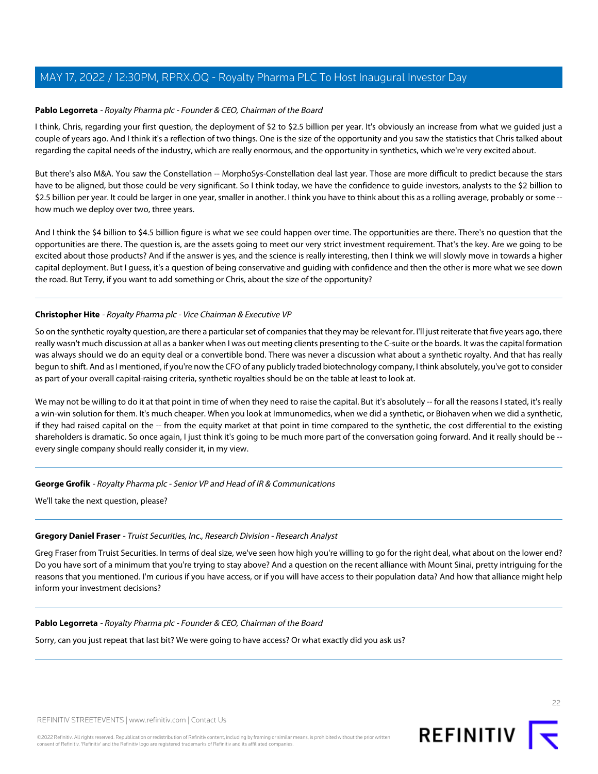#### **Pablo Legorreta** - Royalty Pharma plc - Founder & CEO, Chairman of the Board

I think, Chris, regarding your first question, the deployment of \$2 to \$2.5 billion per year. It's obviously an increase from what we guided just a couple of years ago. And I think it's a reflection of two things. One is the size of the opportunity and you saw the statistics that Chris talked about regarding the capital needs of the industry, which are really enormous, and the opportunity in synthetics, which we're very excited about.

But there's also M&A. You saw the Constellation -- MorphoSys-Constellation deal last year. Those are more difficult to predict because the stars have to be aligned, but those could be very significant. So I think today, we have the confidence to guide investors, analysts to the \$2 billion to \$2.5 billion per year. It could be larger in one year, smaller in another. I think you have to think about this as a rolling average, probably or some -how much we deploy over two, three years.

And I think the \$4 billion to \$4.5 billion figure is what we see could happen over time. The opportunities are there. There's no question that the opportunities are there. The question is, are the assets going to meet our very strict investment requirement. That's the key. Are we going to be excited about those products? And if the answer is yes, and the science is really interesting, then I think we will slowly move in towards a higher capital deployment. But I guess, it's a question of being conservative and guiding with confidence and then the other is more what we see down the road. But Terry, if you want to add something or Chris, about the size of the opportunity?

#### **Christopher Hite** - Royalty Pharma plc - Vice Chairman & Executive VP

So on the synthetic royalty question, are there a particular set of companies that they may be relevant for. I'll just reiterate that five years ago, there really wasn't much discussion at all as a banker when I was out meeting clients presenting to the C-suite or the boards. It was the capital formation was always should we do an equity deal or a convertible bond. There was never a discussion what about a synthetic royalty. And that has really begun to shift. And as I mentioned, if you're now the CFO of any publicly traded biotechnology company, I think absolutely, you've got to consider as part of your overall capital-raising criteria, synthetic royalties should be on the table at least to look at.

We may not be willing to do it at that point in time of when they need to raise the capital. But it's absolutely -- for all the reasons I stated, it's really a win-win solution for them. It's much cheaper. When you look at Immunomedics, when we did a synthetic, or Biohaven when we did a synthetic, if they had raised capital on the -- from the equity market at that point in time compared to the synthetic, the cost differential to the existing shareholders is dramatic. So once again, I just think it's going to be much more part of the conversation going forward. And it really should be - every single company should really consider it, in my view.

#### <span id="page-21-0"></span>**George Grofik** - Royalty Pharma plc - Senior VP and Head of IR & Communications

We'll take the next question, please?

#### **Gregory Daniel Fraser** - Truist Securities, Inc., Research Division - Research Analyst

Greg Fraser from Truist Securities. In terms of deal size, we've seen how high you're willing to go for the right deal, what about on the lower end? Do you have sort of a minimum that you're trying to stay above? And a question on the recent alliance with Mount Sinai, pretty intriguing for the reasons that you mentioned. I'm curious if you have access, or if you will have access to their population data? And how that alliance might help inform your investment decisions?

#### **Pablo Legorreta** - Royalty Pharma plc - Founder & CEO, Chairman of the Board

Sorry, can you just repeat that last bit? We were going to have access? Or what exactly did you ask us?

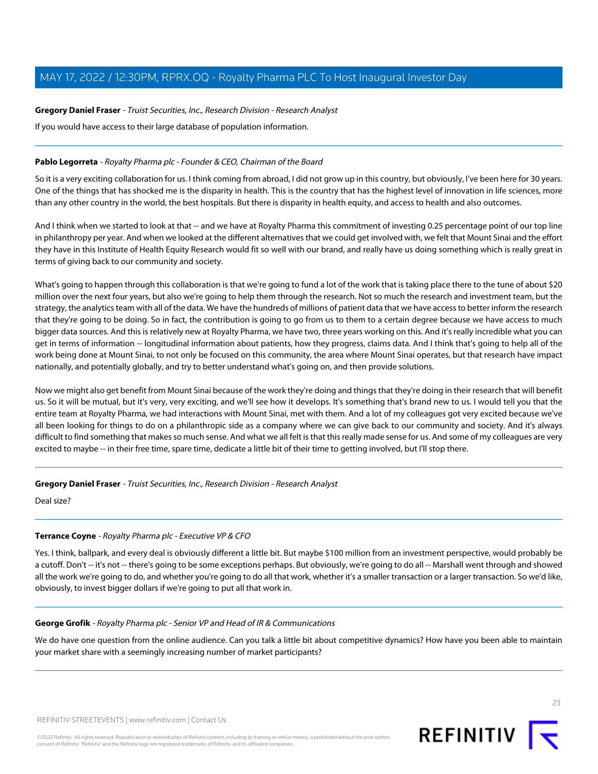#### **Gregory Daniel Fraser** - Truist Securities, Inc., Research Division - Research Analyst

If you would have access to their large database of population information.

#### **Pablo Legorreta** - Royalty Pharma plc - Founder & CEO, Chairman of the Board

So it is a very exciting collaboration for us. I think coming from abroad, I did not grow up in this country, but obviously, I've been here for 30 years. One of the things that has shocked me is the disparity in health. This is the country that has the highest level of innovation in life sciences, more than any other country in the world, the best hospitals. But there is disparity in health equity, and access to health and also outcomes.

And I think when we started to look at that -- and we have at Royalty Pharma this commitment of investing 0.25 percentage point of our top line in philanthropy per year. And when we looked at the different alternatives that we could get involved with, we felt that Mount Sinai and the effort they have in this Institute of Health Equity Research would fit so well with our brand, and really have us doing something which is really great in terms of giving back to our community and society.

What's going to happen through this collaboration is that we're going to fund a lot of the work that is taking place there to the tune of about \$20 million over the next four years, but also we're going to help them through the research. Not so much the research and investment team, but the strategy, the analytics team with all of the data. We have the hundreds of millions of patient data that we have access to better inform the research that they're going to be doing. So in fact, the contribution is going to go from us to them to a certain degree because we have access to much bigger data sources. And this is relatively new at Royalty Pharma, we have two, three years working on this. And it's really incredible what you can get in terms of information -- longitudinal information about patients, how they progress, claims data. And I think that's going to help all of the work being done at Mount Sinai, to not only be focused on this community, the area where Mount Sinai operates, but that research have impact nationally, and potentially globally, and try to better understand what's going on, and then provide solutions.

Now we might also get benefit from Mount Sinai because of the work they're doing and things that they're doing in their research that will benefit us. So it will be mutual, but it's very, very exciting, and we'll see how it develops. It's something that's brand new to us. I would tell you that the entire team at Royalty Pharma, we had interactions with Mount Sinai, met with them. And a lot of my colleagues got very excited because we've all been looking for things to do on a philanthropic side as a company where we can give back to our community and society. And it's always difficult to find something that makes so much sense. And what we all felt is that this really made sense for us. And some of my colleagues are very excited to maybe -- in their free time, spare time, dedicate a little bit of their time to getting involved, but I'll stop there.

**Gregory Daniel Fraser** - Truist Securities, Inc., Research Division - Research Analyst

Deal size?

#### **Terrance Coyne** - Royalty Pharma plc - Executive VP & CFO

Yes. I think, ballpark, and every deal is obviously different a little bit. But maybe \$100 million from an investment perspective, would probably be a cutoff. Don't -- it's not -- there's going to be some exceptions perhaps. But obviously, we're going to do all -- Marshall went through and showed all the work we're going to do, and whether you're going to do all that work, whether it's a smaller transaction or a larger transaction. So we'd like, obviously, to invest bigger dollars if we're going to put all that work in.

#### **George Grofik** - Royalty Pharma plc - Senior VP and Head of IR & Communications

We do have one question from the online audience. Can you talk a little bit about competitive dynamics? How have you been able to maintain your market share with a seemingly increasing number of market participants?

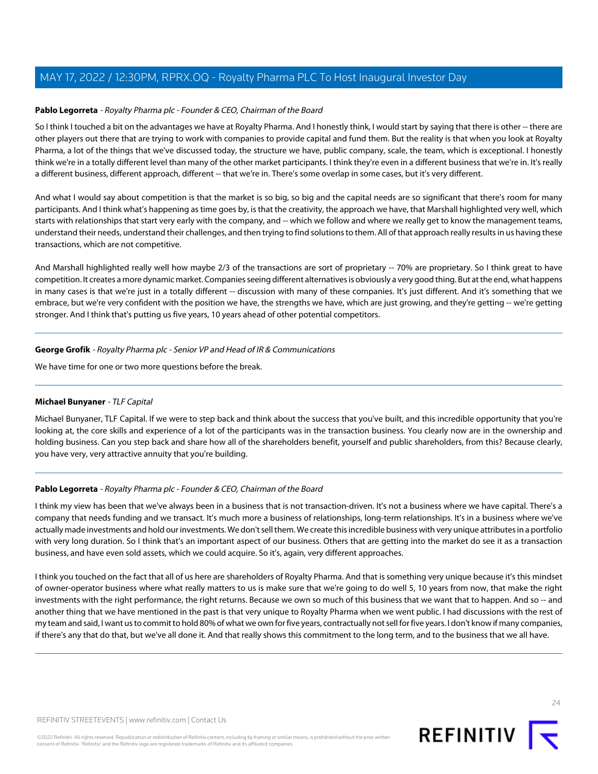#### **Pablo Legorreta** - Royalty Pharma plc - Founder & CEO, Chairman of the Board

So I think I touched a bit on the advantages we have at Royalty Pharma. And I honestly think, I would start by saying that there is other -- there are other players out there that are trying to work with companies to provide capital and fund them. But the reality is that when you look at Royalty Pharma, a lot of the things that we've discussed today, the structure we have, public company, scale, the team, which is exceptional. I honestly think we're in a totally different level than many of the other market participants. I think they're even in a different business that we're in. It's really a different business, different approach, different -- that we're in. There's some overlap in some cases, but it's very different.

And what I would say about competition is that the market is so big, so big and the capital needs are so significant that there's room for many participants. And I think what's happening as time goes by, is that the creativity, the approach we have, that Marshall highlighted very well, which starts with relationships that start very early with the company, and -- which we follow and where we really get to know the management teams, understand their needs, understand their challenges, and then trying to find solutions to them. All of that approach really results in us having these transactions, which are not competitive.

And Marshall highlighted really well how maybe 2/3 of the transactions are sort of proprietary -- 70% are proprietary. So I think great to have competition. It creates a more dynamic market. Companies seeing different alternatives is obviously a very good thing. But at the end, what happens in many cases is that we're just in a totally different -- discussion with many of these companies. It's just different. And it's something that we embrace, but we're very confident with the position we have, the strengths we have, which are just growing, and they're getting -- we're getting stronger. And I think that's putting us five years, 10 years ahead of other potential competitors.

#### **George Grofik** - Royalty Pharma plc - Senior VP and Head of IR & Communications

<span id="page-23-0"></span>We have time for one or two more questions before the break.

#### **Michael Bunyaner** - TLF Capital

Michael Bunyaner, TLF Capital. If we were to step back and think about the success that you've built, and this incredible opportunity that you're looking at, the core skills and experience of a lot of the participants was in the transaction business. You clearly now are in the ownership and holding business. Can you step back and share how all of the shareholders benefit, yourself and public shareholders, from this? Because clearly, you have very, very attractive annuity that you're building.

#### **Pablo Legorreta** - Royalty Pharma plc - Founder & CEO, Chairman of the Board

I think my view has been that we've always been in a business that is not transaction-driven. It's not a business where we have capital. There's a company that needs funding and we transact. It's much more a business of relationships, long-term relationships. It's in a business where we've actually made investments and hold our investments. We don't sell them. We create this incredible business with very unique attributes in a portfolio with very long duration. So I think that's an important aspect of our business. Others that are getting into the market do see it as a transaction business, and have even sold assets, which we could acquire. So it's, again, very different approaches.

I think you touched on the fact that all of us here are shareholders of Royalty Pharma. And that is something very unique because it's this mindset of owner-operator business where what really matters to us is make sure that we're going to do well 5, 10 years from now, that make the right investments with the right performance, the right returns. Because we own so much of this business that we want that to happen. And so -- and another thing that we have mentioned in the past is that very unique to Royalty Pharma when we went public. I had discussions with the rest of my team and said, I want us to commit to hold 80% of what we own for five years, contractually not sell for five years. I don't know if many companies, if there's any that do that, but we've all done it. And that really shows this commitment to the long term, and to the business that we all have.

 $24$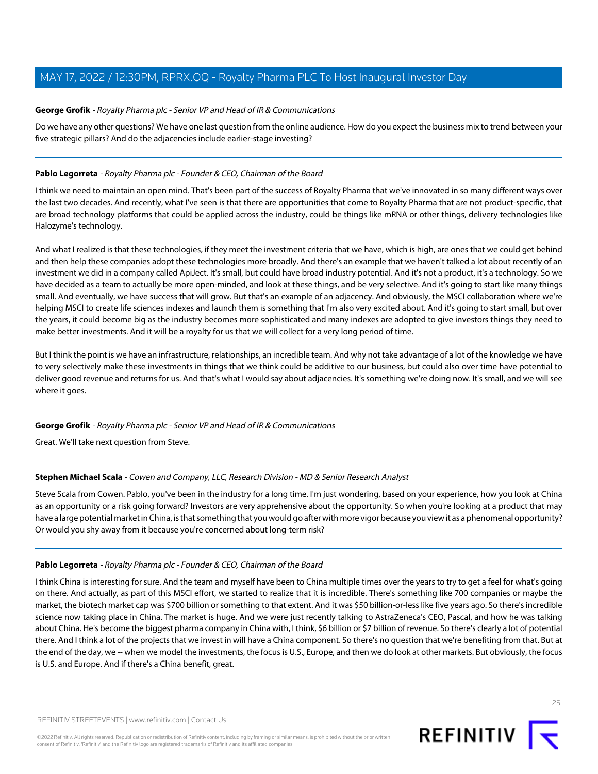#### **George Grofik** - Royalty Pharma plc - Senior VP and Head of IR & Communications

Do we have any other questions? We have one last question from the online audience. How do you expect the business mix to trend between your five strategic pillars? And do the adjacencies include earlier-stage investing?

#### **Pablo Legorreta** - Royalty Pharma plc - Founder & CEO, Chairman of the Board

I think we need to maintain an open mind. That's been part of the success of Royalty Pharma that we've innovated in so many different ways over the last two decades. And recently, what I've seen is that there are opportunities that come to Royalty Pharma that are not product-specific, that are broad technology platforms that could be applied across the industry, could be things like mRNA or other things, delivery technologies like Halozyme's technology.

And what I realized is that these technologies, if they meet the investment criteria that we have, which is high, are ones that we could get behind and then help these companies adopt these technologies more broadly. And there's an example that we haven't talked a lot about recently of an investment we did in a company called ApiJect. It's small, but could have broad industry potential. And it's not a product, it's a technology. So we have decided as a team to actually be more open-minded, and look at these things, and be very selective. And it's going to start like many things small. And eventually, we have success that will grow. But that's an example of an adjacency. And obviously, the MSCI collaboration where we're helping MSCI to create life sciences indexes and launch them is something that I'm also very excited about. And it's going to start small, but over the years, it could become big as the industry becomes more sophisticated and many indexes are adopted to give investors things they need to make better investments. And it will be a royalty for us that we will collect for a very long period of time.

But I think the point is we have an infrastructure, relationships, an incredible team. And why not take advantage of a lot of the knowledge we have to very selectively make these investments in things that we think could be additive to our business, but could also over time have potential to deliver good revenue and returns for us. And that's what I would say about adjacencies. It's something we're doing now. It's small, and we will see where it goes.

#### **George Grofik** - Royalty Pharma plc - Senior VP and Head of IR & Communications

Great. We'll take next question from Steve.

#### **Stephen Michael Scala** - Cowen and Company, LLC, Research Division - MD & Senior Research Analyst

Steve Scala from Cowen. Pablo, you've been in the industry for a long time. I'm just wondering, based on your experience, how you look at China as an opportunity or a risk going forward? Investors are very apprehensive about the opportunity. So when you're looking at a product that may have a large potential market in China, is that something that you would go after with more vigor because you view it as a phenomenal opportunity? Or would you shy away from it because you're concerned about long-term risk?

#### **Pablo Legorreta** - Royalty Pharma plc - Founder & CEO, Chairman of the Board

I think China is interesting for sure. And the team and myself have been to China multiple times over the years to try to get a feel for what's going on there. And actually, as part of this MSCI effort, we started to realize that it is incredible. There's something like 700 companies or maybe the market, the biotech market cap was \$700 billion or something to that extent. And it was \$50 billion-or-less like five years ago. So there's incredible science now taking place in China. The market is huge. And we were just recently talking to AstraZeneca's CEO, Pascal, and how he was talking about China. He's become the biggest pharma company in China with, I think, \$6 billion or \$7 billion of revenue. So there's clearly a lot of potential there. And I think a lot of the projects that we invest in will have a China component. So there's no question that we're benefiting from that. But at the end of the day, we -- when we model the investments, the focus is U.S., Europe, and then we do look at other markets. But obviously, the focus is U.S. and Europe. And if there's a China benefit, great.

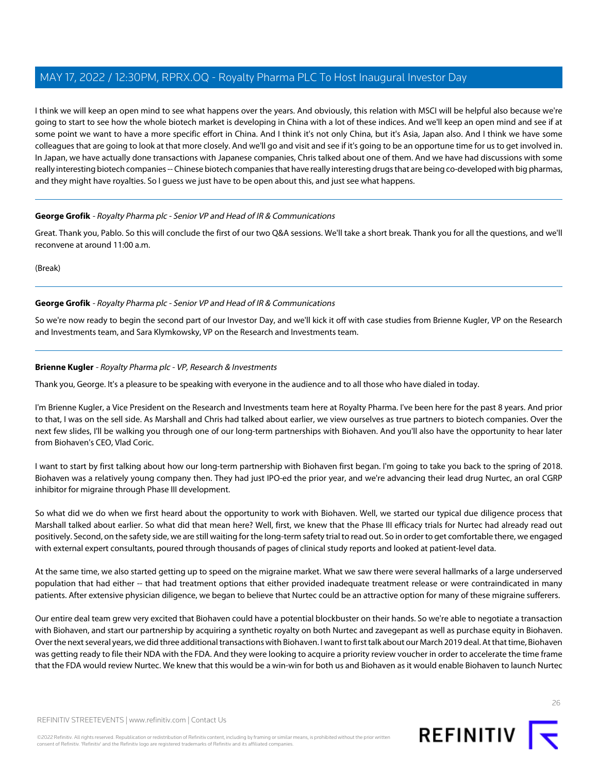I think we will keep an open mind to see what happens over the years. And obviously, this relation with MSCI will be helpful also because we're going to start to see how the whole biotech market is developing in China with a lot of these indices. And we'll keep an open mind and see if at some point we want to have a more specific effort in China. And I think it's not only China, but it's Asia, Japan also. And I think we have some colleagues that are going to look at that more closely. And we'll go and visit and see if it's going to be an opportune time for us to get involved in. In Japan, we have actually done transactions with Japanese companies, Chris talked about one of them. And we have had discussions with some really interesting biotech companies -- Chinese biotech companies that have really interesting drugs that are being co-developed with big pharmas, and they might have royalties. So I guess we just have to be open about this, and just see what happens.

#### **George Grofik** - Royalty Pharma plc - Senior VP and Head of IR & Communications

Great. Thank you, Pablo. So this will conclude the first of our two Q&A sessions. We'll take a short break. Thank you for all the questions, and we'll reconvene at around 11:00 a.m.

(Break)

#### **George Grofik** - Royalty Pharma plc - Senior VP and Head of IR & Communications

<span id="page-25-0"></span>So we're now ready to begin the second part of our Investor Day, and we'll kick it off with case studies from Brienne Kugler, VP on the Research and Investments team, and Sara Klymkowsky, VP on the Research and Investments team.

#### **Brienne Kugler** - Royalty Pharma plc - VP, Research & Investments

Thank you, George. It's a pleasure to be speaking with everyone in the audience and to all those who have dialed in today.

I'm Brienne Kugler, a Vice President on the Research and Investments team here at Royalty Pharma. I've been here for the past 8 years. And prior to that, I was on the sell side. As Marshall and Chris had talked about earlier, we view ourselves as true partners to biotech companies. Over the next few slides, I'll be walking you through one of our long-term partnerships with Biohaven. And you'll also have the opportunity to hear later from Biohaven's CEO, Vlad Coric.

I want to start by first talking about how our long-term partnership with Biohaven first began. I'm going to take you back to the spring of 2018. Biohaven was a relatively young company then. They had just IPO-ed the prior year, and we're advancing their lead drug Nurtec, an oral CGRP inhibitor for migraine through Phase III development.

So what did we do when we first heard about the opportunity to work with Biohaven. Well, we started our typical due diligence process that Marshall talked about earlier. So what did that mean here? Well, first, we knew that the Phase III efficacy trials for Nurtec had already read out positively. Second, on the safety side, we are still waiting for the long-term safety trial to read out. So in order to get comfortable there, we engaged with external expert consultants, poured through thousands of pages of clinical study reports and looked at patient-level data.

At the same time, we also started getting up to speed on the migraine market. What we saw there were several hallmarks of a large underserved population that had either -- that had treatment options that either provided inadequate treatment release or were contraindicated in many patients. After extensive physician diligence, we began to believe that Nurtec could be an attractive option for many of these migraine sufferers.

Our entire deal team grew very excited that Biohaven could have a potential blockbuster on their hands. So we're able to negotiate a transaction with Biohaven, and start our partnership by acquiring a synthetic royalty on both Nurtec and zavegepant as well as purchase equity in Biohaven. Over the next several years, we did three additional transactions with Biohaven. I want to first talk about our March 2019 deal. At that time, Biohaven was getting ready to file their NDA with the FDA. And they were looking to acquire a priority review voucher in order to accelerate the time frame that the FDA would review Nurtec. We knew that this would be a win-win for both us and Biohaven as it would enable Biohaven to launch Nurtec

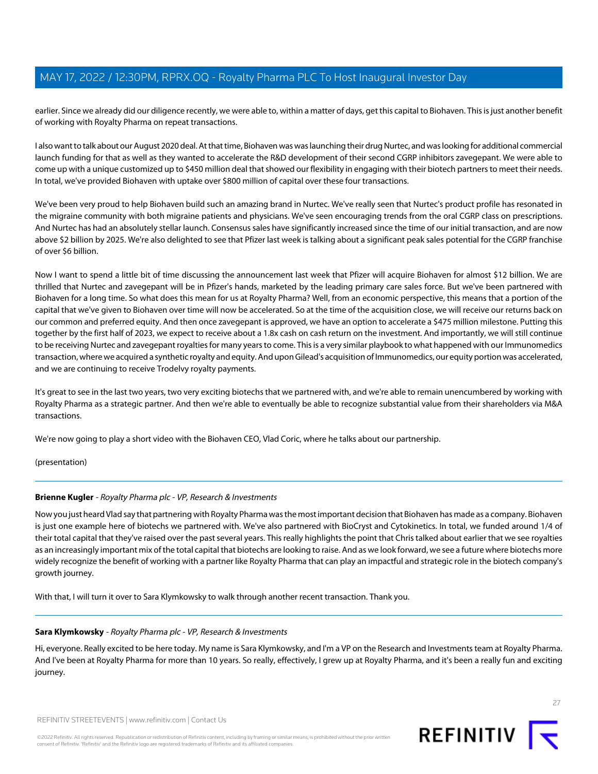earlier. Since we already did our diligence recently, we were able to, within a matter of days, get this capital to Biohaven. This is just another benefit of working with Royalty Pharma on repeat transactions.

I also want to talk about our August 2020 deal. At that time, Biohaven was was launching their drug Nurtec, and was looking for additional commercial launch funding for that as well as they wanted to accelerate the R&D development of their second CGRP inhibitors zavegepant. We were able to come up with a unique customized up to \$450 million deal that showed our flexibility in engaging with their biotech partners to meet their needs. In total, we've provided Biohaven with uptake over \$800 million of capital over these four transactions.

We've been very proud to help Biohaven build such an amazing brand in Nurtec. We've really seen that Nurtec's product profile has resonated in the migraine community with both migraine patients and physicians. We've seen encouraging trends from the oral CGRP class on prescriptions. And Nurtec has had an absolutely stellar launch. Consensus sales have significantly increased since the time of our initial transaction, and are now above \$2 billion by 2025. We're also delighted to see that Pfizer last week is talking about a significant peak sales potential for the CGRP franchise of over \$6 billion.

Now I want to spend a little bit of time discussing the announcement last week that Pfizer will acquire Biohaven for almost \$12 billion. We are thrilled that Nurtec and zavegepant will be in Pfizer's hands, marketed by the leading primary care sales force. But we've been partnered with Biohaven for a long time. So what does this mean for us at Royalty Pharma? Well, from an economic perspective, this means that a portion of the capital that we've given to Biohaven over time will now be accelerated. So at the time of the acquisition close, we will receive our returns back on our common and preferred equity. And then once zavegepant is approved, we have an option to accelerate a \$475 million milestone. Putting this together by the first half of 2023, we expect to receive about a 1.8x cash on cash return on the investment. And importantly, we will still continue to be receiving Nurtec and zavegepant royalties for many years to come. This is a very similar playbook to what happened with our Immunomedics transaction, where we acquired a synthetic royalty and equity. And upon Gilead's acquisition of Immunomedics, our equity portion was accelerated, and we are continuing to receive Trodelvy royalty payments.

It's great to see in the last two years, two very exciting biotechs that we partnered with, and we're able to remain unencumbered by working with Royalty Pharma as a strategic partner. And then we're able to eventually be able to recognize substantial value from their shareholders via M&A transactions.

We're now going to play a short video with the Biohaven CEO, Vlad Coric, where he talks about our partnership.

(presentation)

#### **Brienne Kugler** - Royalty Pharma plc - VP, Research & Investments

Now you just heard Vlad say that partnering with Royalty Pharma was the most important decision that Biohaven has made as a company. Biohaven is just one example here of biotechs we partnered with. We've also partnered with BioCryst and Cytokinetics. In total, we funded around 1/4 of their total capital that they've raised over the past several years. This really highlights the point that Chris talked about earlier that we see royalties as an increasingly important mix of the total capital that biotechs are looking to raise. And as we look forward, we see a future where biotechs more widely recognize the benefit of working with a partner like Royalty Pharma that can play an impactful and strategic role in the biotech company's growth journey.

<span id="page-26-0"></span>With that, I will turn it over to Sara Klymkowsky to walk through another recent transaction. Thank you.

#### **Sara Klymkowsky** - Royalty Pharma plc - VP, Research & Investments

Hi, everyone. Really excited to be here today. My name is Sara Klymkowsky, and I'm a VP on the Research and Investments team at Royalty Pharma. And I've been at Royalty Pharma for more than 10 years. So really, effectively, I grew up at Royalty Pharma, and it's been a really fun and exciting journey.



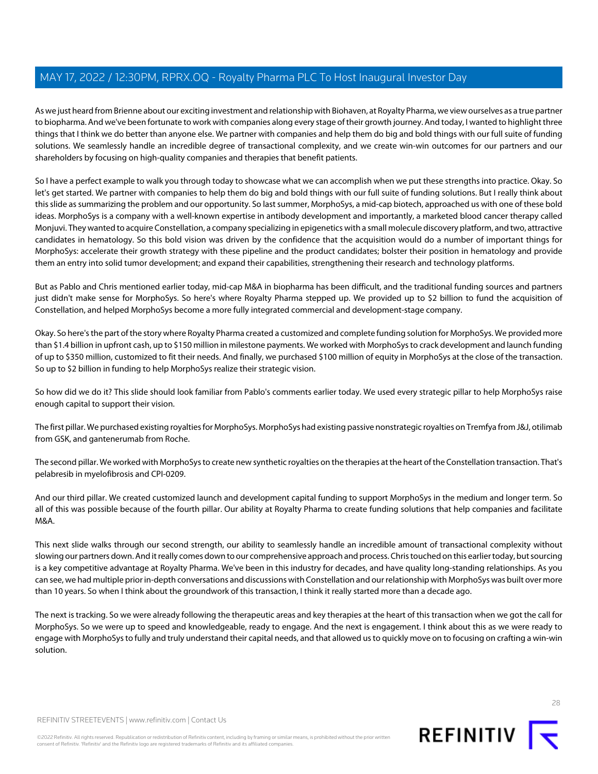As we just heard from Brienne about our exciting investment and relationship with Biohaven, at Royalty Pharma, we view ourselves as a true partner to biopharma. And we've been fortunate to work with companies along every stage of their growth journey. And today, I wanted to highlight three things that I think we do better than anyone else. We partner with companies and help them do big and bold things with our full suite of funding solutions. We seamlessly handle an incredible degree of transactional complexity, and we create win-win outcomes for our partners and our shareholders by focusing on high-quality companies and therapies that benefit patients.

So I have a perfect example to walk you through today to showcase what we can accomplish when we put these strengths into practice. Okay. So let's get started. We partner with companies to help them do big and bold things with our full suite of funding solutions. But I really think about this slide as summarizing the problem and our opportunity. So last summer, MorphoSys, a mid-cap biotech, approached us with one of these bold ideas. MorphoSys is a company with a well-known expertise in antibody development and importantly, a marketed blood cancer therapy called Monjuvi. They wanted to acquire Constellation, a company specializing in epigenetics with a small molecule discovery platform, and two, attractive candidates in hematology. So this bold vision was driven by the confidence that the acquisition would do a number of important things for MorphoSys: accelerate their growth strategy with these pipeline and the product candidates; bolster their position in hematology and provide them an entry into solid tumor development; and expand their capabilities, strengthening their research and technology platforms.

But as Pablo and Chris mentioned earlier today, mid-cap M&A in biopharma has been difficult, and the traditional funding sources and partners just didn't make sense for MorphoSys. So here's where Royalty Pharma stepped up. We provided up to \$2 billion to fund the acquisition of Constellation, and helped MorphoSys become a more fully integrated commercial and development-stage company.

Okay. So here's the part of the story where Royalty Pharma created a customized and complete funding solution for MorphoSys. We provided more than \$1.4 billion in upfront cash, up to \$150 million in milestone payments. We worked with MorphoSys to crack development and launch funding of up to \$350 million, customized to fit their needs. And finally, we purchased \$100 million of equity in MorphoSys at the close of the transaction. So up to \$2 billion in funding to help MorphoSys realize their strategic vision.

So how did we do it? This slide should look familiar from Pablo's comments earlier today. We used every strategic pillar to help MorphoSys raise enough capital to support their vision.

The first pillar. We purchased existing royalties for MorphoSys. MorphoSys had existing passive nonstrategic royalties on Tremfya from J&J, otilimab from GSK, and gantenerumab from Roche.

The second pillar. We worked with MorphoSys to create new synthetic royalties on the therapies at the heart of the Constellation transaction. That's pelabresib in myelofibrosis and CPI-0209.

And our third pillar. We created customized launch and development capital funding to support MorphoSys in the medium and longer term. So all of this was possible because of the fourth pillar. Our ability at Royalty Pharma to create funding solutions that help companies and facilitate M&A.

This next slide walks through our second strength, our ability to seamlessly handle an incredible amount of transactional complexity without slowing our partners down. And it really comes down to our comprehensive approach and process. Chris touched on this earlier today, but sourcing is a key competitive advantage at Royalty Pharma. We've been in this industry for decades, and have quality long-standing relationships. As you can see, we had multiple prior in-depth conversations and discussions with Constellation and our relationship with MorphoSys was built over more than 10 years. So when I think about the groundwork of this transaction, I think it really started more than a decade ago.

The next is tracking. So we were already following the therapeutic areas and key therapies at the heart of this transaction when we got the call for MorphoSys. So we were up to speed and knowledgeable, ready to engage. And the next is engagement. I think about this as we were ready to engage with MorphoSys to fully and truly understand their capital needs, and that allowed us to quickly move on to focusing on crafting a win-win solution.

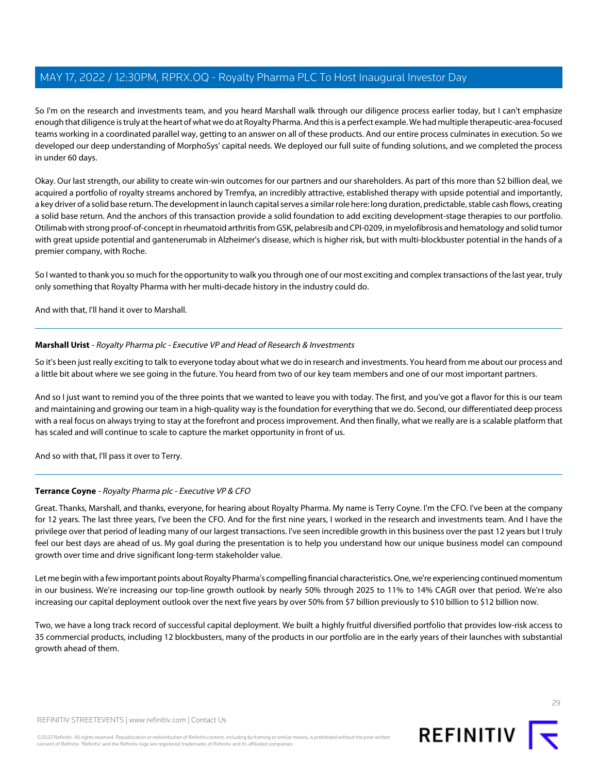So I'm on the research and investments team, and you heard Marshall walk through our diligence process earlier today, but I can't emphasize enough that diligence is truly at the heart of what we do at Royalty Pharma. And this is a perfect example. We had multiple therapeutic-area-focused teams working in a coordinated parallel way, getting to an answer on all of these products. And our entire process culminates in execution. So we developed our deep understanding of MorphoSys' capital needs. We deployed our full suite of funding solutions, and we completed the process in under 60 days.

Okay. Our last strength, our ability to create win-win outcomes for our partners and our shareholders. As part of this more than \$2 billion deal, we acquired a portfolio of royalty streams anchored by Tremfya, an incredibly attractive, established therapy with upside potential and importantly, a key driver of a solid base return. The development in launch capital serves a similar role here: long duration, predictable, stable cash flows, creating a solid base return. And the anchors of this transaction provide a solid foundation to add exciting development-stage therapies to our portfolio. Otilimab with strong proof-of-concept in rheumatoid arthritis from GSK, pelabresib and CPI-0209, in myelofibrosis and hematology and solid tumor with great upside potential and gantenerumab in Alzheimer's disease, which is higher risk, but with multi-blockbuster potential in the hands of a premier company, with Roche.

So I wanted to thank you so much for the opportunity to walk you through one of our most exciting and complex transactions of the last year, truly only something that Royalty Pharma with her multi-decade history in the industry could do.

And with that, I'll hand it over to Marshall.

#### **Marshall Urist** - Royalty Pharma plc - Executive VP and Head of Research & Investments

So it's been just really exciting to talk to everyone today about what we do in research and investments. You heard from me about our process and a little bit about where we see going in the future. You heard from two of our key team members and one of our most important partners.

And so I just want to remind you of the three points that we wanted to leave you with today. The first, and you've got a flavor for this is our team and maintaining and growing our team in a high-quality way is the foundation for everything that we do. Second, our differentiated deep process with a real focus on always trying to stay at the forefront and process improvement. And then finally, what we really are is a scalable platform that has scaled and will continue to scale to capture the market opportunity in front of us.

And so with that, I'll pass it over to Terry.

#### **Terrance Coyne** - Royalty Pharma plc - Executive VP & CFO

Great. Thanks, Marshall, and thanks, everyone, for hearing about Royalty Pharma. My name is Terry Coyne. I'm the CFO. I've been at the company for 12 years. The last three years, I've been the CFO. And for the first nine years, I worked in the research and investments team. And I have the privilege over that period of leading many of our largest transactions. I've seen incredible growth in this business over the past 12 years but I truly feel our best days are ahead of us. My goal during the presentation is to help you understand how our unique business model can compound growth over time and drive significant long-term stakeholder value.

Let me begin with a few important points about Royalty Pharma's compelling financial characteristics. One, we're experiencing continued momentum in our business. We're increasing our top-line growth outlook by nearly 50% through 2025 to 11% to 14% CAGR over that period. We're also increasing our capital deployment outlook over the next five years by over 50% from \$7 billion previously to \$10 billion to \$12 billion now.

Two, we have a long track record of successful capital deployment. We built a highly fruitful diversified portfolio that provides low-risk access to 35 commercial products, including 12 blockbusters, many of the products in our portfolio are in the early years of their launches with substantial growth ahead of them.

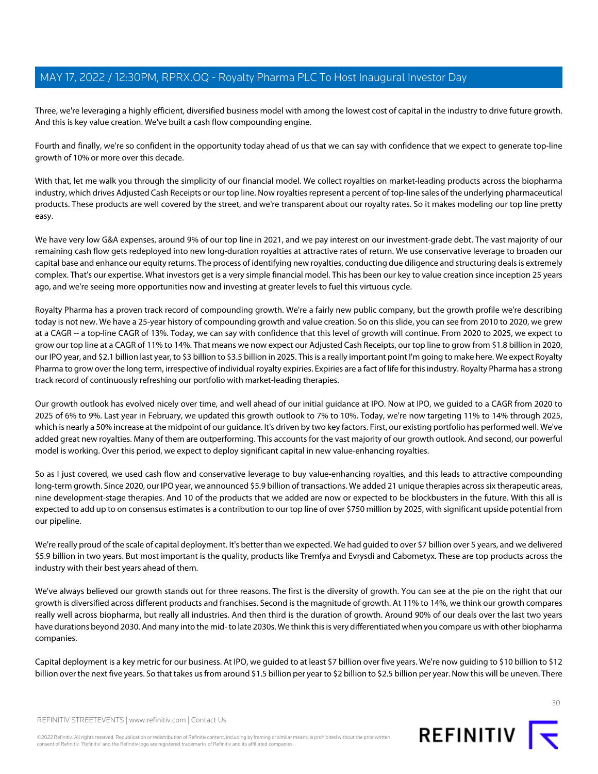Three, we're leveraging a highly efficient, diversified business model with among the lowest cost of capital in the industry to drive future growth. And this is key value creation. We've built a cash flow compounding engine.

Fourth and finally, we're so confident in the opportunity today ahead of us that we can say with confidence that we expect to generate top-line growth of 10% or more over this decade.

With that, let me walk you through the simplicity of our financial model. We collect royalties on market-leading products across the biopharma industry, which drives Adjusted Cash Receipts or our top line. Now royalties represent a percent of top-line sales of the underlying pharmaceutical products. These products are well covered by the street, and we're transparent about our royalty rates. So it makes modeling our top line pretty easy.

We have very low G&A expenses, around 9% of our top line in 2021, and we pay interest on our investment-grade debt. The vast majority of our remaining cash flow gets redeployed into new long-duration royalties at attractive rates of return. We use conservative leverage to broaden our capital base and enhance our equity returns. The process of identifying new royalties, conducting due diligence and structuring deals is extremely complex. That's our expertise. What investors get is a very simple financial model. This has been our key to value creation since inception 25 years ago, and we're seeing more opportunities now and investing at greater levels to fuel this virtuous cycle.

Royalty Pharma has a proven track record of compounding growth. We're a fairly new public company, but the growth profile we're describing today is not new. We have a 25-year history of compounding growth and value creation. So on this slide, you can see from 2010 to 2020, we grew at a CAGR -- a top-line CAGR of 13%. Today, we can say with confidence that this level of growth will continue. From 2020 to 2025, we expect to grow our top line at a CAGR of 11% to 14%. That means we now expect our Adjusted Cash Receipts, our top line to grow from \$1.8 billion in 2020, our IPO year, and \$2.1 billion last year, to \$3 billion to \$3.5 billion in 2025. This is a really important point I'm going to make here. We expect Royalty Pharma to grow over the long term, irrespective of individual royalty expiries. Expiries are a fact of life for this industry. Royalty Pharma has a strong track record of continuously refreshing our portfolio with market-leading therapies.

Our growth outlook has evolved nicely over time, and well ahead of our initial guidance at IPO. Now at IPO, we guided to a CAGR from 2020 to 2025 of 6% to 9%. Last year in February, we updated this growth outlook to 7% to 10%. Today, we're now targeting 11% to 14% through 2025, which is nearly a 50% increase at the midpoint of our guidance. It's driven by two key factors. First, our existing portfolio has performed well. We've added great new royalties. Many of them are outperforming. This accounts for the vast majority of our growth outlook. And second, our powerful model is working. Over this period, we expect to deploy significant capital in new value-enhancing royalties.

So as I just covered, we used cash flow and conservative leverage to buy value-enhancing royalties, and this leads to attractive compounding long-term growth. Since 2020, our IPO year, we announced \$5.9 billion of transactions. We added 21 unique therapies across six therapeutic areas, nine development-stage therapies. And 10 of the products that we added are now or expected to be blockbusters in the future. With this all is expected to add up to on consensus estimates is a contribution to our top line of over \$750 million by 2025, with significant upside potential from our pipeline.

We're really proud of the scale of capital deployment. It's better than we expected. We had guided to over \$7 billion over 5 years, and we delivered \$5.9 billion in two years. But most important is the quality, products like Tremfya and Evrysdi and Cabometyx. These are top products across the industry with their best years ahead of them.

We've always believed our growth stands out for three reasons. The first is the diversity of growth. You can see at the pie on the right that our growth is diversified across different products and franchises. Second is the magnitude of growth. At 11% to 14%, we think our growth compares really well across biopharma, but really all industries. And then third is the duration of growth. Around 90% of our deals over the last two years have durations beyond 2030. And many into the mid- to late 2030s. We think this is very differentiated when you compare us with other biopharma companies.

Capital deployment is a key metric for our business. At IPO, we guided to at least \$7 billion over five years. We're now guiding to \$10 billion to \$12 billion over the next five years. So that takes us from around \$1.5 billion per year to \$2 billion to \$2.5 billion per year. Now this will be uneven. There

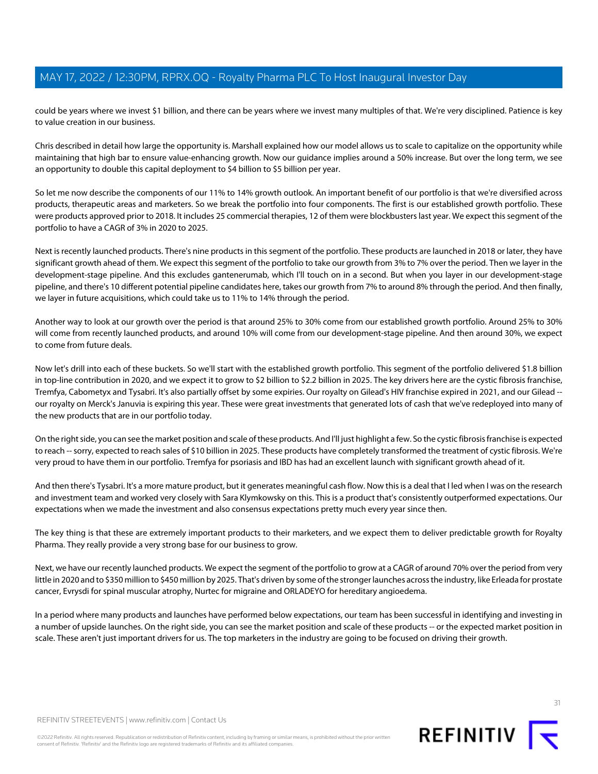could be years where we invest \$1 billion, and there can be years where we invest many multiples of that. We're very disciplined. Patience is key to value creation in our business.

Chris described in detail how large the opportunity is. Marshall explained how our model allows us to scale to capitalize on the opportunity while maintaining that high bar to ensure value-enhancing growth. Now our guidance implies around a 50% increase. But over the long term, we see an opportunity to double this capital deployment to \$4 billion to \$5 billion per year.

So let me now describe the components of our 11% to 14% growth outlook. An important benefit of our portfolio is that we're diversified across products, therapeutic areas and marketers. So we break the portfolio into four components. The first is our established growth portfolio. These were products approved prior to 2018. It includes 25 commercial therapies, 12 of them were blockbusters last year. We expect this segment of the portfolio to have a CAGR of 3% in 2020 to 2025.

Next is recently launched products. There's nine products in this segment of the portfolio. These products are launched in 2018 or later, they have significant growth ahead of them. We expect this segment of the portfolio to take our growth from 3% to 7% over the period. Then we layer in the development-stage pipeline. And this excludes gantenerumab, which I'll touch on in a second. But when you layer in our development-stage pipeline, and there's 10 different potential pipeline candidates here, takes our growth from 7% to around 8% through the period. And then finally, we layer in future acquisitions, which could take us to 11% to 14% through the period.

Another way to look at our growth over the period is that around 25% to 30% come from our established growth portfolio. Around 25% to 30% will come from recently launched products, and around 10% will come from our development-stage pipeline. And then around 30%, we expect to come from future deals.

Now let's drill into each of these buckets. So we'll start with the established growth portfolio. This segment of the portfolio delivered \$1.8 billion in top-line contribution in 2020, and we expect it to grow to \$2 billion to \$2.2 billion in 2025. The key drivers here are the cystic fibrosis franchise, Tremfya, Cabometyx and Tysabri. It's also partially offset by some expiries. Our royalty on Gilead's HIV franchise expired in 2021, and our Gilead - our royalty on Merck's Januvia is expiring this year. These were great investments that generated lots of cash that we've redeployed into many of the new products that are in our portfolio today.

On the right side, you can see the market position and scale of these products. And I'll just highlight a few. So the cystic fibrosis franchise is expected to reach -- sorry, expected to reach sales of \$10 billion in 2025. These products have completely transformed the treatment of cystic fibrosis. We're very proud to have them in our portfolio. Tremfya for psoriasis and IBD has had an excellent launch with significant growth ahead of it.

And then there's Tysabri. It's a more mature product, but it generates meaningful cash flow. Now this is a deal that I led when I was on the research and investment team and worked very closely with Sara Klymkowsky on this. This is a product that's consistently outperformed expectations. Our expectations when we made the investment and also consensus expectations pretty much every year since then.

The key thing is that these are extremely important products to their marketers, and we expect them to deliver predictable growth for Royalty Pharma. They really provide a very strong base for our business to grow.

Next, we have our recently launched products. We expect the segment of the portfolio to grow at a CAGR of around 70% over the period from very little in 2020 and to \$350 million to \$450 million by 2025. That's driven by some of the stronger launches across the industry, like Erleada for prostate cancer, Evrysdi for spinal muscular atrophy, Nurtec for migraine and ORLADEYO for hereditary angioedema.

In a period where many products and launches have performed below expectations, our team has been successful in identifying and investing in a number of upside launches. On the right side, you can see the market position and scale of these products -- or the expected market position in scale. These aren't just important drivers for us. The top marketers in the industry are going to be focused on driving their growth.



31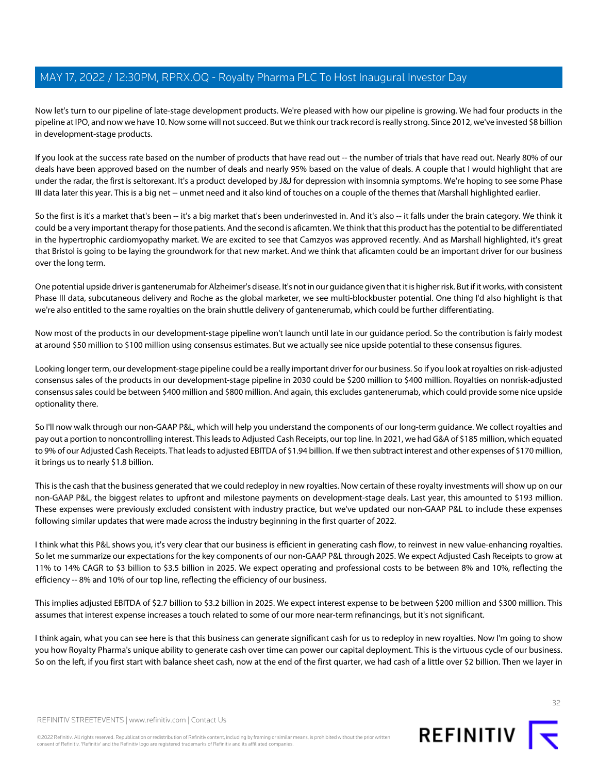Now let's turn to our pipeline of late-stage development products. We're pleased with how our pipeline is growing. We had four products in the pipeline at IPO, and now we have 10. Now some will not succeed. But we think our track record is really strong. Since 2012, we've invested \$8 billion in development-stage products.

If you look at the success rate based on the number of products that have read out -- the number of trials that have read out. Nearly 80% of our deals have been approved based on the number of deals and nearly 95% based on the value of deals. A couple that I would highlight that are under the radar, the first is seltorexant. It's a product developed by J&J for depression with insomnia symptoms. We're hoping to see some Phase III data later this year. This is a big net -- unmet need and it also kind of touches on a couple of the themes that Marshall highlighted earlier.

So the first is it's a market that's been -- it's a big market that's been underinvested in. And it's also -- it falls under the brain category. We think it could be a very important therapy for those patients. And the second is aficamten. We think that this product has the potential to be differentiated in the hypertrophic cardiomyopathy market. We are excited to see that Camzyos was approved recently. And as Marshall highlighted, it's great that Bristol is going to be laying the groundwork for that new market. And we think that aficamten could be an important driver for our business over the long term.

One potential upside driver is gantenerumab for Alzheimer's disease. It's not in our guidance given that it is higher risk. But if it works, with consistent Phase III data, subcutaneous delivery and Roche as the global marketer, we see multi-blockbuster potential. One thing I'd also highlight is that we're also entitled to the same royalties on the brain shuttle delivery of gantenerumab, which could be further differentiating.

Now most of the products in our development-stage pipeline won't launch until late in our guidance period. So the contribution is fairly modest at around \$50 million to \$100 million using consensus estimates. But we actually see nice upside potential to these consensus figures.

Looking longer term, our development-stage pipeline could be a really important driver for our business. So if you look at royalties on risk-adjusted consensus sales of the products in our development-stage pipeline in 2030 could be \$200 million to \$400 million. Royalties on nonrisk-adjusted consensus sales could be between \$400 million and \$800 million. And again, this excludes gantenerumab, which could provide some nice upside optionality there.

So I'll now walk through our non-GAAP P&L, which will help you understand the components of our long-term guidance. We collect royalties and pay out a portion to noncontrolling interest. This leads to Adjusted Cash Receipts, our top line. In 2021, we had G&A of \$185 million, which equated to 9% of our Adjusted Cash Receipts. That leads to adjusted EBITDA of \$1.94 billion. If we then subtract interest and other expenses of \$170 million, it brings us to nearly \$1.8 billion.

This is the cash that the business generated that we could redeploy in new royalties. Now certain of these royalty investments will show up on our non-GAAP P&L, the biggest relates to upfront and milestone payments on development-stage deals. Last year, this amounted to \$193 million. These expenses were previously excluded consistent with industry practice, but we've updated our non-GAAP P&L to include these expenses following similar updates that were made across the industry beginning in the first quarter of 2022.

I think what this P&L shows you, it's very clear that our business is efficient in generating cash flow, to reinvest in new value-enhancing royalties. So let me summarize our expectations for the key components of our non-GAAP P&L through 2025. We expect Adjusted Cash Receipts to grow at 11% to 14% CAGR to \$3 billion to \$3.5 billion in 2025. We expect operating and professional costs to be between 8% and 10%, reflecting the efficiency -- 8% and 10% of our top line, reflecting the efficiency of our business.

This implies adjusted EBITDA of \$2.7 billion to \$3.2 billion in 2025. We expect interest expense to be between \$200 million and \$300 million. This assumes that interest expense increases a touch related to some of our more near-term refinancings, but it's not significant.

I think again, what you can see here is that this business can generate significant cash for us to redeploy in new royalties. Now I'm going to show you how Royalty Pharma's unique ability to generate cash over time can power our capital deployment. This is the virtuous cycle of our business. So on the left, if you first start with balance sheet cash, now at the end of the first quarter, we had cash of a little over \$2 billion. Then we layer in



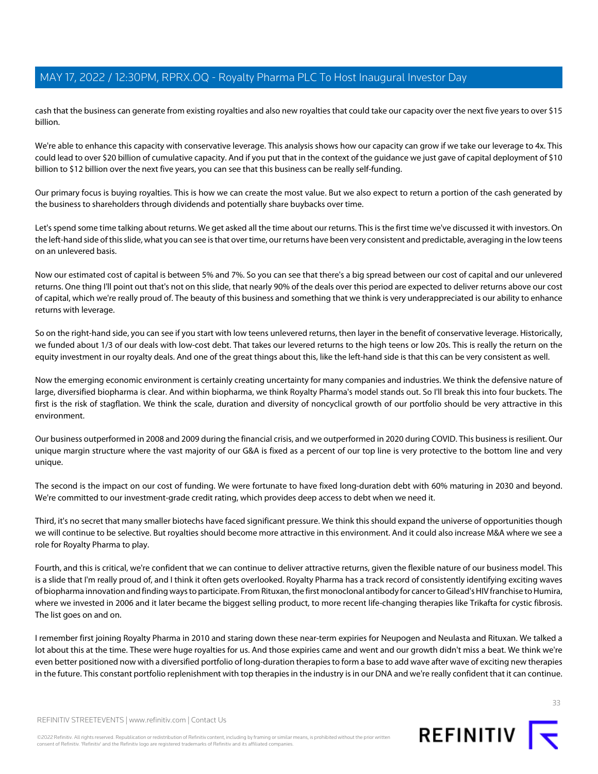cash that the business can generate from existing royalties and also new royalties that could take our capacity over the next five years to over \$15 billion.

We're able to enhance this capacity with conservative leverage. This analysis shows how our capacity can grow if we take our leverage to 4x. This could lead to over \$20 billion of cumulative capacity. And if you put that in the context of the guidance we just gave of capital deployment of \$10 billion to \$12 billion over the next five years, you can see that this business can be really self-funding.

Our primary focus is buying royalties. This is how we can create the most value. But we also expect to return a portion of the cash generated by the business to shareholders through dividends and potentially share buybacks over time.

Let's spend some time talking about returns. We get asked all the time about our returns. This is the first time we've discussed it with investors. On the left-hand side of this slide, what you can see is that over time, our returns have been very consistent and predictable, averaging in the low teens on an unlevered basis.

Now our estimated cost of capital is between 5% and 7%. So you can see that there's a big spread between our cost of capital and our unlevered returns. One thing I'll point out that's not on this slide, that nearly 90% of the deals over this period are expected to deliver returns above our cost of capital, which we're really proud of. The beauty of this business and something that we think is very underappreciated is our ability to enhance returns with leverage.

So on the right-hand side, you can see if you start with low teens unlevered returns, then layer in the benefit of conservative leverage. Historically, we funded about 1/3 of our deals with low-cost debt. That takes our levered returns to the high teens or low 20s. This is really the return on the equity investment in our royalty deals. And one of the great things about this, like the left-hand side is that this can be very consistent as well.

Now the emerging economic environment is certainly creating uncertainty for many companies and industries. We think the defensive nature of large, diversified biopharma is clear. And within biopharma, we think Royalty Pharma's model stands out. So I'll break this into four buckets. The first is the risk of stagflation. We think the scale, duration and diversity of noncyclical growth of our portfolio should be very attractive in this environment.

Our business outperformed in 2008 and 2009 during the financial crisis, and we outperformed in 2020 during COVID. This business is resilient. Our unique margin structure where the vast majority of our G&A is fixed as a percent of our top line is very protective to the bottom line and very unique.

The second is the impact on our cost of funding. We were fortunate to have fixed long-duration debt with 60% maturing in 2030 and beyond. We're committed to our investment-grade credit rating, which provides deep access to debt when we need it.

Third, it's no secret that many smaller biotechs have faced significant pressure. We think this should expand the universe of opportunities though we will continue to be selective. But royalties should become more attractive in this environment. And it could also increase M&A where we see a role for Royalty Pharma to play.

Fourth, and this is critical, we're confident that we can continue to deliver attractive returns, given the flexible nature of our business model. This is a slide that I'm really proud of, and I think it often gets overlooked. Royalty Pharma has a track record of consistently identifying exciting waves of biopharma innovation and finding ways to participate. From Rituxan, the first monoclonal antibody for cancer to Gilead's HIV franchise to Humira, where we invested in 2006 and it later became the biggest selling product, to more recent life-changing therapies like Trikafta for cystic fibrosis. The list goes on and on.

I remember first joining Royalty Pharma in 2010 and staring down these near-term expiries for Neupogen and Neulasta and Rituxan. We talked a lot about this at the time. These were huge royalties for us. And those expiries came and went and our growth didn't miss a beat. We think we're even better positioned now with a diversified portfolio of long-duration therapies to form a base to add wave after wave of exciting new therapies in the future. This constant portfolio replenishment with top therapies in the industry is in our DNA and we're really confident that it can continue.

REFINITIV STREETEVENTS | [www.refinitiv.com](https://www.refinitiv.com/) | [Contact Us](https://www.refinitiv.com/en/contact-us)

©2022 Refinitiv. All rights reserved. Republication or redistribution of Refinitiv content, including by framing or similar means, is prohibited without the prior written consent of Refinitiv. 'Refinitiv' and the Refinitiv logo are registered trademarks of Refinitiv and its affiliated companies.

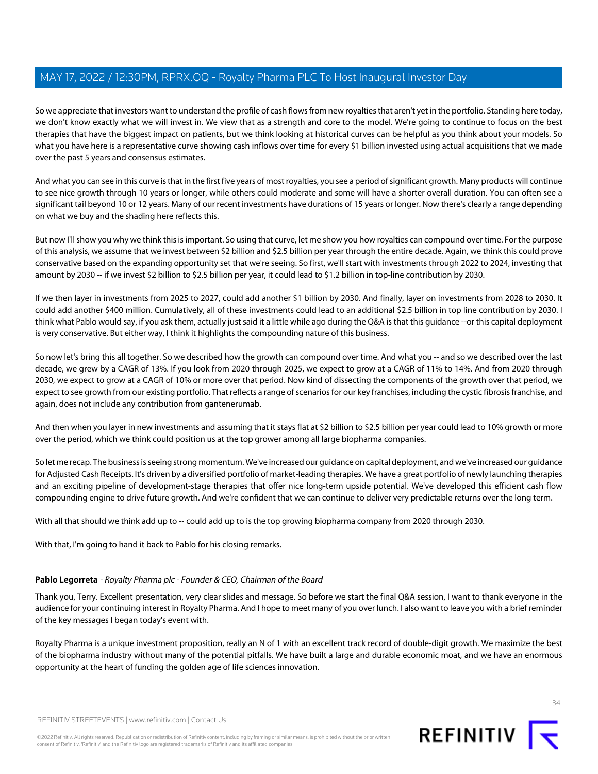So we appreciate that investors want to understand the profile of cash flows from new royalties that aren't yet in the portfolio. Standing here today, we don't know exactly what we will invest in. We view that as a strength and core to the model. We're going to continue to focus on the best therapies that have the biggest impact on patients, but we think looking at historical curves can be helpful as you think about your models. So what you have here is a representative curve showing cash inflows over time for every \$1 billion invested using actual acquisitions that we made over the past 5 years and consensus estimates.

And what you can see in this curve is that in the first five years of most royalties, you see a period of significant growth. Many products will continue to see nice growth through 10 years or longer, while others could moderate and some will have a shorter overall duration. You can often see a significant tail beyond 10 or 12 years. Many of our recent investments have durations of 15 years or longer. Now there's clearly a range depending on what we buy and the shading here reflects this.

But now I'll show you why we think this is important. So using that curve, let me show you how royalties can compound over time. For the purpose of this analysis, we assume that we invest between \$2 billion and \$2.5 billion per year through the entire decade. Again, we think this could prove conservative based on the expanding opportunity set that we're seeing. So first, we'll start with investments through 2022 to 2024, investing that amount by 2030 -- if we invest \$2 billion to \$2.5 billion per year, it could lead to \$1.2 billion in top-line contribution by 2030.

If we then layer in investments from 2025 to 2027, could add another \$1 billion by 2030. And finally, layer on investments from 2028 to 2030. It could add another \$400 million. Cumulatively, all of these investments could lead to an additional \$2.5 billion in top line contribution by 2030. I think what Pablo would say, if you ask them, actually just said it a little while ago during the Q&A is that this guidance --or this capital deployment is very conservative. But either way, I think it highlights the compounding nature of this business.

So now let's bring this all together. So we described how the growth can compound over time. And what you -- and so we described over the last decade, we grew by a CAGR of 13%. If you look from 2020 through 2025, we expect to grow at a CAGR of 11% to 14%. And from 2020 through 2030, we expect to grow at a CAGR of 10% or more over that period. Now kind of dissecting the components of the growth over that period, we expect to see growth from our existing portfolio. That reflects a range of scenarios for our key franchises, including the cystic fibrosis franchise, and again, does not include any contribution from gantenerumab.

And then when you layer in new investments and assuming that it stays flat at \$2 billion to \$2.5 billion per year could lead to 10% growth or more over the period, which we think could position us at the top grower among all large biopharma companies.

So let me recap. The business is seeing strong momentum. We've increased our guidance on capital deployment, and we've increased our guidance for Adjusted Cash Receipts. It's driven by a diversified portfolio of market-leading therapies. We have a great portfolio of newly launching therapies and an exciting pipeline of development-stage therapies that offer nice long-term upside potential. We've developed this efficient cash flow compounding engine to drive future growth. And we're confident that we can continue to deliver very predictable returns over the long term.

With all that should we think add up to -- could add up to is the top growing biopharma company from 2020 through 2030.

With that, I'm going to hand it back to Pablo for his closing remarks.

#### Pablo Legorreta - Royalty Pharma plc - Founder & CEO, Chairman of the Board

Thank you, Terry. Excellent presentation, very clear slides and message. So before we start the final Q&A session, I want to thank everyone in the audience for your continuing interest in Royalty Pharma. And I hope to meet many of you over lunch. I also want to leave you with a brief reminder of the key messages I began today's event with.

Royalty Pharma is a unique investment proposition, really an N of 1 with an excellent track record of double-digit growth. We maximize the best of the biopharma industry without many of the potential pitfalls. We have built a large and durable economic moat, and we have an enormous opportunity at the heart of funding the golden age of life sciences innovation.

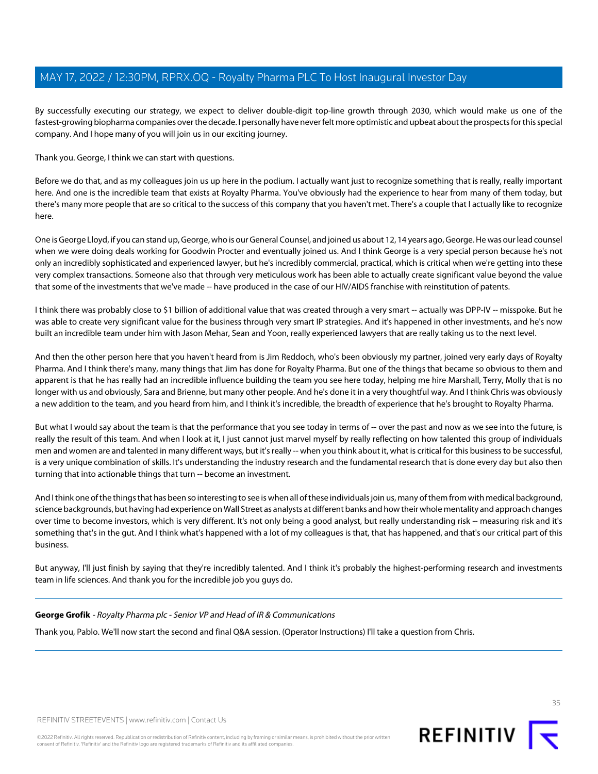By successfully executing our strategy, we expect to deliver double-digit top-line growth through 2030, which would make us one of the fastest-growing biopharma companies over the decade. I personally have never felt more optimistic and upbeat about the prospects for this special company. And I hope many of you will join us in our exciting journey.

Thank you. George, I think we can start with questions.

Before we do that, and as my colleagues join us up here in the podium. I actually want just to recognize something that is really, really important here. And one is the incredible team that exists at Royalty Pharma. You've obviously had the experience to hear from many of them today, but there's many more people that are so critical to the success of this company that you haven't met. There's a couple that I actually like to recognize here.

One is George Lloyd, if you can stand up, George, who is our General Counsel, and joined us about 12, 14 years ago, George. He was our lead counsel when we were doing deals working for Goodwin Procter and eventually joined us. And I think George is a very special person because he's not only an incredibly sophisticated and experienced lawyer, but he's incredibly commercial, practical, which is critical when we're getting into these very complex transactions. Someone also that through very meticulous work has been able to actually create significant value beyond the value that some of the investments that we've made -- have produced in the case of our HIV/AIDS franchise with reinstitution of patents.

I think there was probably close to \$1 billion of additional value that was created through a very smart -- actually was DPP-IV -- misspoke. But he was able to create very significant value for the business through very smart IP strategies. And it's happened in other investments, and he's now built an incredible team under him with Jason Mehar, Sean and Yoon, really experienced lawyers that are really taking us to the next level.

And then the other person here that you haven't heard from is Jim Reddoch, who's been obviously my partner, joined very early days of Royalty Pharma. And I think there's many, many things that Jim has done for Royalty Pharma. But one of the things that became so obvious to them and apparent is that he has really had an incredible influence building the team you see here today, helping me hire Marshall, Terry, Molly that is no longer with us and obviously, Sara and Brienne, but many other people. And he's done it in a very thoughtful way. And I think Chris was obviously a new addition to the team, and you heard from him, and I think it's incredible, the breadth of experience that he's brought to Royalty Pharma.

But what I would say about the team is that the performance that you see today in terms of -- over the past and now as we see into the future, is really the result of this team. And when I look at it, I just cannot just marvel myself by really reflecting on how talented this group of individuals men and women are and talented in many different ways, but it's really -- when you think about it, what is critical for this business to be successful, is a very unique combination of skills. It's understanding the industry research and the fundamental research that is done every day but also then turning that into actionable things that turn -- become an investment.

And I think one of the things that has been so interesting to see is when all of these individuals join us, many of them from with medical background, science backgrounds, but having had experience on Wall Street as analysts at different banks and how their whole mentality and approach changes over time to become investors, which is very different. It's not only being a good analyst, but really understanding risk -- measuring risk and it's something that's in the gut. And I think what's happened with a lot of my colleagues is that, that has happened, and that's our critical part of this business.

But anyway, I'll just finish by saying that they're incredibly talented. And I think it's probably the highest-performing research and investments team in life sciences. And thank you for the incredible job you guys do.

#### **George Grofik** - Royalty Pharma plc - Senior VP and Head of IR & Communications

Thank you, Pablo. We'll now start the second and final Q&A session. (Operator Instructions) I'll take a question from Chris.



©2022 Refinitiv. All rights reserved. Republication or redistribution of Refinitiv content, including by framing or similar means, is prohibited without the prior written consent of Refinitiv. 'Refinitiv' and the Refinitiv logo are registered trademarks of Refinitiv and its affiliated companies.

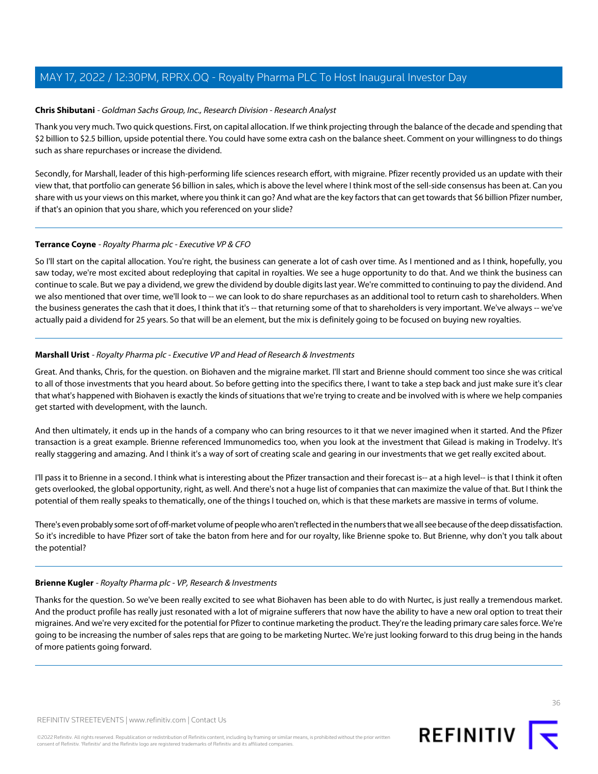#### **Chris Shibutani** - Goldman Sachs Group, Inc., Research Division - Research Analyst

Thank you very much. Two quick questions. First, on capital allocation. If we think projecting through the balance of the decade and spending that \$2 billion to \$2.5 billion, upside potential there. You could have some extra cash on the balance sheet. Comment on your willingness to do things such as share repurchases or increase the dividend.

Secondly, for Marshall, leader of this high-performing life sciences research effort, with migraine. Pfizer recently provided us an update with their view that, that portfolio can generate \$6 billion in sales, which is above the level where I think most of the sell-side consensus has been at. Can you share with us your views on this market, where you think it can go? And what are the key factors that can get towards that \$6 billion Pfizer number, if that's an opinion that you share, which you referenced on your slide?

#### **Terrance Coyne** - Royalty Pharma plc - Executive VP & CFO

So I'll start on the capital allocation. You're right, the business can generate a lot of cash over time. As I mentioned and as I think, hopefully, you saw today, we're most excited about redeploying that capital in royalties. We see a huge opportunity to do that. And we think the business can continue to scale. But we pay a dividend, we grew the dividend by double digits last year. We're committed to continuing to pay the dividend. And we also mentioned that over time, we'll look to -- we can look to do share repurchases as an additional tool to return cash to shareholders. When the business generates the cash that it does, I think that it's -- that returning some of that to shareholders is very important. We've always -- we've actually paid a dividend for 25 years. So that will be an element, but the mix is definitely going to be focused on buying new royalties.

#### **Marshall Urist** - Royalty Pharma plc - Executive VP and Head of Research & Investments

Great. And thanks, Chris, for the question. on Biohaven and the migraine market. I'll start and Brienne should comment too since she was critical to all of those investments that you heard about. So before getting into the specifics there, I want to take a step back and just make sure it's clear that what's happened with Biohaven is exactly the kinds of situations that we're trying to create and be involved with is where we help companies get started with development, with the launch.

And then ultimately, it ends up in the hands of a company who can bring resources to it that we never imagined when it started. And the Pfizer transaction is a great example. Brienne referenced Immunomedics too, when you look at the investment that Gilead is making in Trodelvy. It's really staggering and amazing. And I think it's a way of sort of creating scale and gearing in our investments that we get really excited about.

I'll pass it to Brienne in a second. I think what is interesting about the Pfizer transaction and their forecast is-- at a high level-- is that I think it often gets overlooked, the global opportunity, right, as well. And there's not a huge list of companies that can maximize the value of that. But I think the potential of them really speaks to thematically, one of the things I touched on, which is that these markets are massive in terms of volume.

There's even probably some sort of off-market volume of people who aren't reflected in the numbers that we all see because of the deep dissatisfaction. So it's incredible to have Pfizer sort of take the baton from here and for our royalty, like Brienne spoke to. But Brienne, why don't you talk about the potential?

#### **Brienne Kugler** - Royalty Pharma plc - VP, Research & Investments

Thanks for the question. So we've been really excited to see what Biohaven has been able to do with Nurtec, is just really a tremendous market. And the product profile has really just resonated with a lot of migraine sufferers that now have the ability to have a new oral option to treat their migraines. And we're very excited for the potential for Pfizer to continue marketing the product. They're the leading primary care sales force. We're going to be increasing the number of sales reps that are going to be marketing Nurtec. We're just looking forward to this drug being in the hands of more patients going forward.

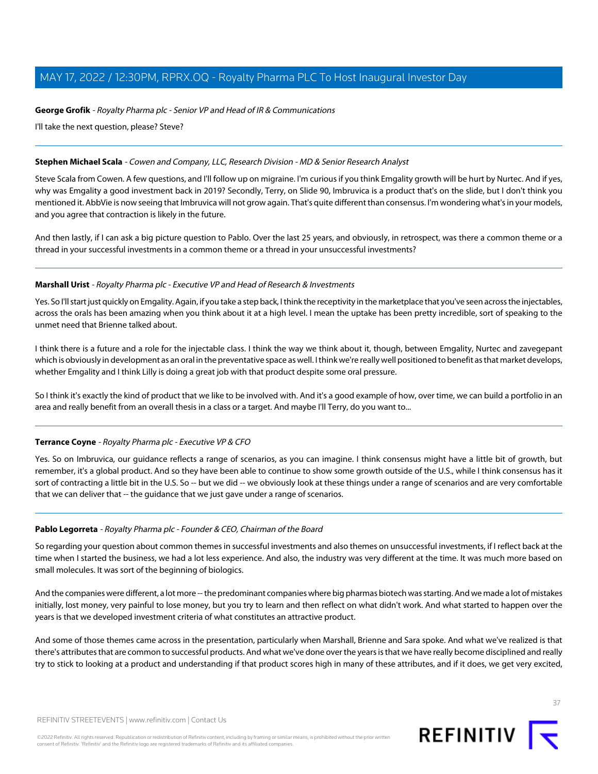#### **George Grofik** - Royalty Pharma plc - Senior VP and Head of IR & Communications

I'll take the next question, please? Steve?

#### **Stephen Michael Scala** - Cowen and Company, LLC, Research Division - MD & Senior Research Analyst

Steve Scala from Cowen. A few questions, and I'll follow up on migraine. I'm curious if you think Emgality growth will be hurt by Nurtec. And if yes, why was Emgality a good investment back in 2019? Secondly, Terry, on Slide 90, Imbruvica is a product that's on the slide, but I don't think you mentioned it. AbbVie is now seeing that Imbruvica will not grow again. That's quite different than consensus. I'm wondering what's in your models, and you agree that contraction is likely in the future.

And then lastly, if I can ask a big picture question to Pablo. Over the last 25 years, and obviously, in retrospect, was there a common theme or a thread in your successful investments in a common theme or a thread in your unsuccessful investments?

#### **Marshall Urist** - Royalty Pharma plc - Executive VP and Head of Research & Investments

Yes. So I'll start just quickly on Emgality. Again, if you take a step back, I think the receptivity in the marketplace that you've seen across the injectables, across the orals has been amazing when you think about it at a high level. I mean the uptake has been pretty incredible, sort of speaking to the unmet need that Brienne talked about.

I think there is a future and a role for the injectable class. I think the way we think about it, though, between Emgality, Nurtec and zavegepant which is obviously in development as an oral in the preventative space as well. I think we're really well positioned to benefit as that market develops, whether Emgality and I think Lilly is doing a great job with that product despite some oral pressure.

So I think it's exactly the kind of product that we like to be involved with. And it's a good example of how, over time, we can build a portfolio in an area and really benefit from an overall thesis in a class or a target. And maybe I'll Terry, do you want to...

#### **Terrance Coyne** - Royalty Pharma plc - Executive VP & CFO

Yes. So on Imbruvica, our guidance reflects a range of scenarios, as you can imagine. I think consensus might have a little bit of growth, but remember, it's a global product. And so they have been able to continue to show some growth outside of the U.S., while I think consensus has it sort of contracting a little bit in the U.S. So -- but we did -- we obviously look at these things under a range of scenarios and are very comfortable that we can deliver that -- the guidance that we just gave under a range of scenarios.

#### **Pablo Legorreta** - Royalty Pharma plc - Founder & CEO, Chairman of the Board

So regarding your question about common themes in successful investments and also themes on unsuccessful investments, if I reflect back at the time when I started the business, we had a lot less experience. And also, the industry was very different at the time. It was much more based on small molecules. It was sort of the beginning of biologics.

And the companies were different, a lot more -- the predominant companies where big pharmas biotech was starting. And we made a lot of mistakes initially, lost money, very painful to lose money, but you try to learn and then reflect on what didn't work. And what started to happen over the years is that we developed investment criteria of what constitutes an attractive product.

And some of those themes came across in the presentation, particularly when Marshall, Brienne and Sara spoke. And what we've realized is that there's attributes that are common to successful products. And what we've done over the years is that we have really become disciplined and really try to stick to looking at a product and understanding if that product scores high in many of these attributes, and if it does, we get very excited,

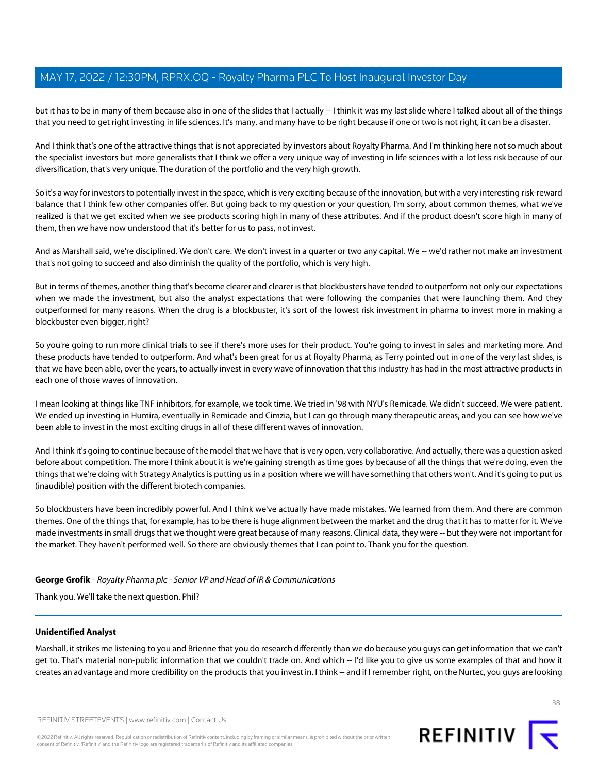but it has to be in many of them because also in one of the slides that I actually -- I think it was my last slide where I talked about all of the things that you need to get right investing in life sciences. It's many, and many have to be right because if one or two is not right, it can be a disaster.

And I think that's one of the attractive things that is not appreciated by investors about Royalty Pharma. And I'm thinking here not so much about the specialist investors but more generalists that I think we offer a very unique way of investing in life sciences with a lot less risk because of our diversification, that's very unique. The duration of the portfolio and the very high growth.

So it's a way for investors to potentially invest in the space, which is very exciting because of the innovation, but with a very interesting risk-reward balance that I think few other companies offer. But going back to my question or your question, I'm sorry, about common themes, what we've realized is that we get excited when we see products scoring high in many of these attributes. And if the product doesn't score high in many of them, then we have now understood that it's better for us to pass, not invest.

And as Marshall said, we're disciplined. We don't care. We don't invest in a quarter or two any capital. We -- we'd rather not make an investment that's not going to succeed and also diminish the quality of the portfolio, which is very high.

But in terms of themes, another thing that's become clearer and clearer is that blockbusters have tended to outperform not only our expectations when we made the investment, but also the analyst expectations that were following the companies that were launching them. And they outperformed for many reasons. When the drug is a blockbuster, it's sort of the lowest risk investment in pharma to invest more in making a blockbuster even bigger, right?

So you're going to run more clinical trials to see if there's more uses for their product. You're going to invest in sales and marketing more. And these products have tended to outperform. And what's been great for us at Royalty Pharma, as Terry pointed out in one of the very last slides, is that we have been able, over the years, to actually invest in every wave of innovation that this industry has had in the most attractive products in each one of those waves of innovation.

I mean looking at things like TNF inhibitors, for example, we took time. We tried in '98 with NYU's Remicade. We didn't succeed. We were patient. We ended up investing in Humira, eventually in Remicade and Cimzia, but I can go through many therapeutic areas, and you can see how we've been able to invest in the most exciting drugs in all of these different waves of innovation.

And I think it's going to continue because of the model that we have that is very open, very collaborative. And actually, there was a question asked before about competition. The more I think about it is we're gaining strength as time goes by because of all the things that we're doing, even the things that we're doing with Strategy Analytics is putting us in a position where we will have something that others won't. And it's going to put us (inaudible) position with the different biotech companies.

So blockbusters have been incredibly powerful. And I think we've actually have made mistakes. We learned from them. And there are common themes. One of the things that, for example, has to be there is huge alignment between the market and the drug that it has to matter for it. We've made investments in small drugs that we thought were great because of many reasons. Clinical data, they were -- but they were not important for the market. They haven't performed well. So there are obviously themes that I can point to. Thank you for the question.

#### **George Grofik** - Royalty Pharma plc - Senior VP and Head of IR & Communications

Thank you. We'll take the next question. Phil?

#### **Unidentified Analyst**

Marshall, it strikes me listening to you and Brienne that you do research differently than we do because you guys can get information that we can't get to. That's material non-public information that we couldn't trade on. And which -- I'd like you to give us some examples of that and how it creates an advantage and more credibility on the products that you invest in. I think -- and if I remember right, on the Nurtec, you guys are looking

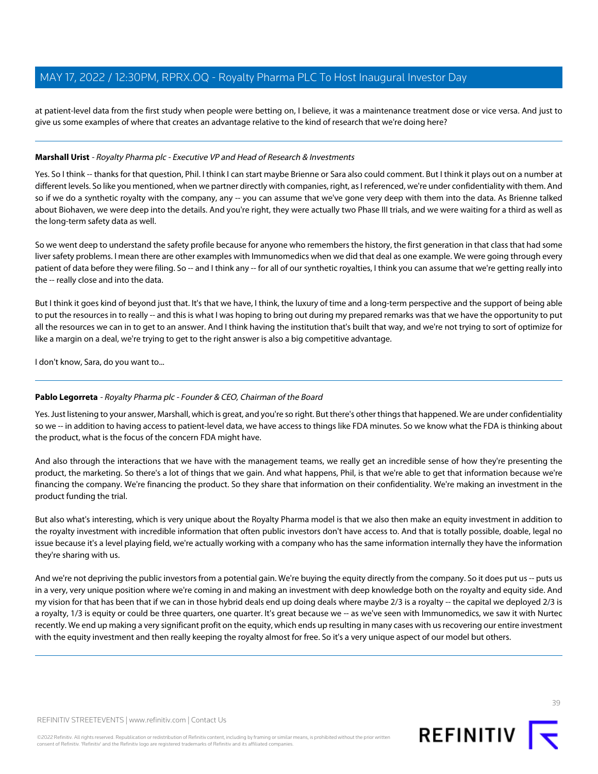at patient-level data from the first study when people were betting on, I believe, it was a maintenance treatment dose or vice versa. And just to give us some examples of where that creates an advantage relative to the kind of research that we're doing here?

#### **Marshall Urist** - Royalty Pharma plc - Executive VP and Head of Research & Investments

Yes. So I think -- thanks for that question, Phil. I think I can start maybe Brienne or Sara also could comment. But I think it plays out on a number at different levels. So like you mentioned, when we partner directly with companies, right, as I referenced, we're under confidentiality with them. And so if we do a synthetic royalty with the company, any -- you can assume that we've gone very deep with them into the data. As Brienne talked about Biohaven, we were deep into the details. And you're right, they were actually two Phase III trials, and we were waiting for a third as well as the long-term safety data as well.

So we went deep to understand the safety profile because for anyone who remembers the history, the first generation in that class that had some liver safety problems. I mean there are other examples with Immunomedics when we did that deal as one example. We were going through every patient of data before they were filing. So -- and I think any -- for all of our synthetic royalties, I think you can assume that we're getting really into the -- really close and into the data.

But I think it goes kind of beyond just that. It's that we have, I think, the luxury of time and a long-term perspective and the support of being able to put the resources in to really -- and this is what I was hoping to bring out during my prepared remarks was that we have the opportunity to put all the resources we can in to get to an answer. And I think having the institution that's built that way, and we're not trying to sort of optimize for like a margin on a deal, we're trying to get to the right answer is also a big competitive advantage.

I don't know, Sara, do you want to...

#### **Pablo Legorreta** - Royalty Pharma plc - Founder & CEO, Chairman of the Board

Yes. Just listening to your answer, Marshall, which is great, and you're so right. But there's other things that happened. We are under confidentiality so we -- in addition to having access to patient-level data, we have access to things like FDA minutes. So we know what the FDA is thinking about the product, what is the focus of the concern FDA might have.

And also through the interactions that we have with the management teams, we really get an incredible sense of how they're presenting the product, the marketing. So there's a lot of things that we gain. And what happens, Phil, is that we're able to get that information because we're financing the company. We're financing the product. So they share that information on their confidentiality. We're making an investment in the product funding the trial.

But also what's interesting, which is very unique about the Royalty Pharma model is that we also then make an equity investment in addition to the royalty investment with incredible information that often public investors don't have access to. And that is totally possible, doable, legal no issue because it's a level playing field, we're actually working with a company who has the same information internally they have the information they're sharing with us.

And we're not depriving the public investors from a potential gain. We're buying the equity directly from the company. So it does put us -- puts us in a very, very unique position where we're coming in and making an investment with deep knowledge both on the royalty and equity side. And my vision for that has been that if we can in those hybrid deals end up doing deals where maybe 2/3 is a royalty -- the capital we deployed 2/3 is a royalty, 1/3 is equity or could be three quarters, one quarter. It's great because we -- as we've seen with Immunomedics, we saw it with Nurtec recently. We end up making a very significant profit on the equity, which ends up resulting in many cases with us recovering our entire investment with the equity investment and then really keeping the royalty almost for free. So it's a very unique aspect of our model but others.

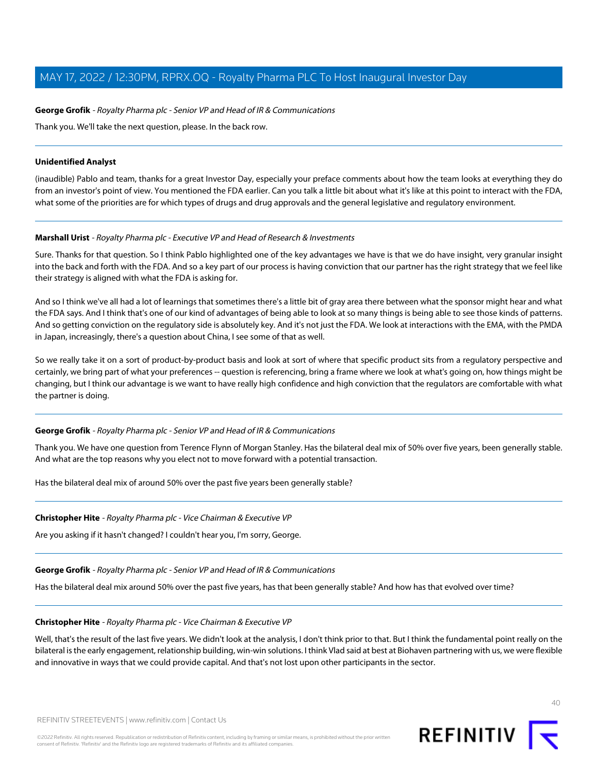#### **George Grofik** - Royalty Pharma plc - Senior VP and Head of IR & Communications

Thank you. We'll take the next question, please. In the back row.

#### **Unidentified Analyst**

(inaudible) Pablo and team, thanks for a great Investor Day, especially your preface comments about how the team looks at everything they do from an investor's point of view. You mentioned the FDA earlier. Can you talk a little bit about what it's like at this point to interact with the FDA, what some of the priorities are for which types of drugs and drug approvals and the general legislative and regulatory environment.

#### **Marshall Urist** - Royalty Pharma plc - Executive VP and Head of Research & Investments

Sure. Thanks for that question. So I think Pablo highlighted one of the key advantages we have is that we do have insight, very granular insight into the back and forth with the FDA. And so a key part of our process is having conviction that our partner has the right strategy that we feel like their strategy is aligned with what the FDA is asking for.

And so I think we've all had a lot of learnings that sometimes there's a little bit of gray area there between what the sponsor might hear and what the FDA says. And I think that's one of our kind of advantages of being able to look at so many things is being able to see those kinds of patterns. And so getting conviction on the regulatory side is absolutely key. And it's not just the FDA. We look at interactions with the EMA, with the PMDA in Japan, increasingly, there's a question about China, I see some of that as well.

So we really take it on a sort of product-by-product basis and look at sort of where that specific product sits from a regulatory perspective and certainly, we bring part of what your preferences -- question is referencing, bring a frame where we look at what's going on, how things might be changing, but I think our advantage is we want to have really high confidence and high conviction that the regulators are comfortable with what the partner is doing.

#### **George Grofik** - Royalty Pharma plc - Senior VP and Head of IR & Communications

Thank you. We have one question from Terence Flynn of Morgan Stanley. Has the bilateral deal mix of 50% over five years, been generally stable. And what are the top reasons why you elect not to move forward with a potential transaction.

Has the bilateral deal mix of around 50% over the past five years been generally stable?

#### **Christopher Hite** - Royalty Pharma plc - Vice Chairman & Executive VP

Are you asking if it hasn't changed? I couldn't hear you, I'm sorry, George.

#### **George Grofik** - Royalty Pharma plc - Senior VP and Head of IR & Communications

Has the bilateral deal mix around 50% over the past five years, has that been generally stable? And how has that evolved over time?

#### **Christopher Hite** - Royalty Pharma plc - Vice Chairman & Executive VP

Well, that's the result of the last five years. We didn't look at the analysis, I don't think prior to that. But I think the fundamental point really on the bilateral is the early engagement, relationship building, win-win solutions. I think Vlad said at best at Biohaven partnering with us, we were flexible and innovative in ways that we could provide capital. And that's not lost upon other participants in the sector.



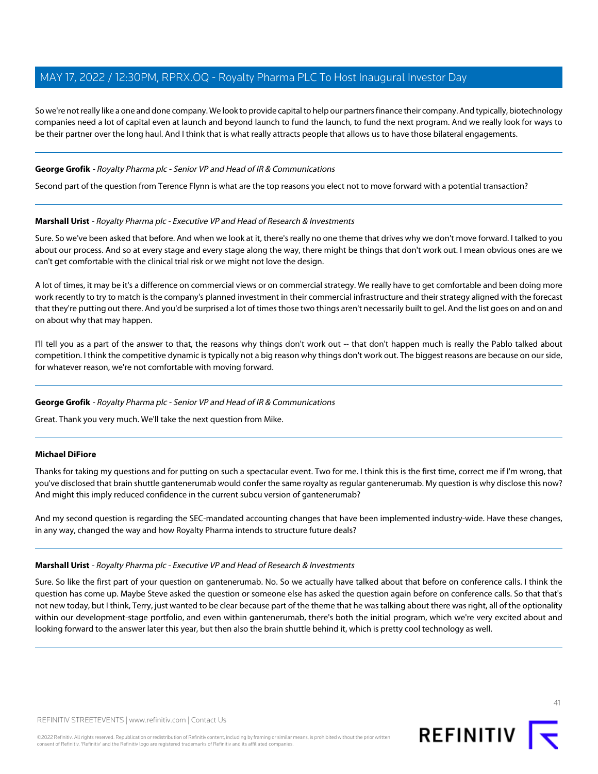So we're not really like a one and done company. We look to provide capital to help our partners finance their company. And typically, biotechnology companies need a lot of capital even at launch and beyond launch to fund the launch, to fund the next program. And we really look for ways to be their partner over the long haul. And I think that is what really attracts people that allows us to have those bilateral engagements.

#### **George Grofik** - Royalty Pharma plc - Senior VP and Head of IR & Communications

Second part of the question from Terence Flynn is what are the top reasons you elect not to move forward with a potential transaction?

#### **Marshall Urist** - Royalty Pharma plc - Executive VP and Head of Research & Investments

Sure. So we've been asked that before. And when we look at it, there's really no one theme that drives why we don't move forward. I talked to you about our process. And so at every stage and every stage along the way, there might be things that don't work out. I mean obvious ones are we can't get comfortable with the clinical trial risk or we might not love the design.

A lot of times, it may be it's a difference on commercial views or on commercial strategy. We really have to get comfortable and been doing more work recently to try to match is the company's planned investment in their commercial infrastructure and their strategy aligned with the forecast that they're putting out there. And you'd be surprised a lot of times those two things aren't necessarily built to gel. And the list goes on and on and on about why that may happen.

I'll tell you as a part of the answer to that, the reasons why things don't work out -- that don't happen much is really the Pablo talked about competition. I think the competitive dynamic is typically not a big reason why things don't work out. The biggest reasons are because on our side, for whatever reason, we're not comfortable with moving forward.

#### <span id="page-40-0"></span>**George Grofik** - Royalty Pharma plc - Senior VP and Head of IR & Communications

Great. Thank you very much. We'll take the next question from Mike.

#### **Michael DiFiore**

Thanks for taking my questions and for putting on such a spectacular event. Two for me. I think this is the first time, correct me if I'm wrong, that you've disclosed that brain shuttle gantenerumab would confer the same royalty as regular gantenerumab. My question is why disclose this now? And might this imply reduced confidence in the current subcu version of gantenerumab?

And my second question is regarding the SEC-mandated accounting changes that have been implemented industry-wide. Have these changes, in any way, changed the way and how Royalty Pharma intends to structure future deals?

#### **Marshall Urist** - Royalty Pharma plc - Executive VP and Head of Research & Investments

Sure. So like the first part of your question on gantenerumab. No. So we actually have talked about that before on conference calls. I think the question has come up. Maybe Steve asked the question or someone else has asked the question again before on conference calls. So that that's not new today, but I think, Terry, just wanted to be clear because part of the theme that he was talking about there was right, all of the optionality within our development-stage portfolio, and even within gantenerumab, there's both the initial program, which we're very excited about and looking forward to the answer later this year, but then also the brain shuttle behind it, which is pretty cool technology as well.

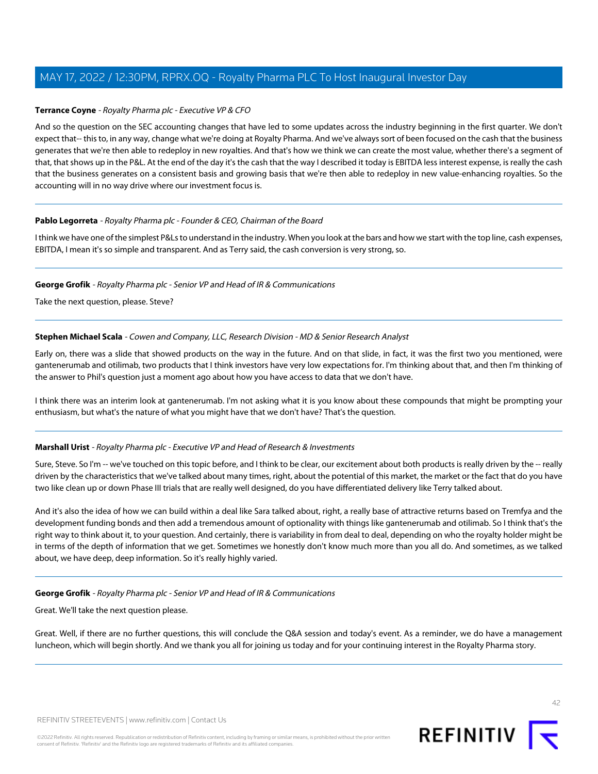#### **Terrance Coyne** - Royalty Pharma plc - Executive VP & CFO

And so the question on the SEC accounting changes that have led to some updates across the industry beginning in the first quarter. We don't expect that-- this to, in any way, change what we're doing at Royalty Pharma. And we've always sort of been focused on the cash that the business generates that we're then able to redeploy in new royalties. And that's how we think we can create the most value, whether there's a segment of that, that shows up in the P&L. At the end of the day it's the cash that the way I described it today is EBITDA less interest expense, is really the cash that the business generates on a consistent basis and growing basis that we're then able to redeploy in new value-enhancing royalties. So the accounting will in no way drive where our investment focus is.

#### **Pablo Legorreta** - Royalty Pharma plc - Founder & CEO, Chairman of the Board

I think we have one of the simplest P&Ls to understand in the industry. When you look at the bars and how we start with the top line, cash expenses, EBITDA, I mean it's so simple and transparent. And as Terry said, the cash conversion is very strong, so.

#### **George Grofik** - Royalty Pharma plc - Senior VP and Head of IR & Communications

Take the next question, please. Steve?

#### **Stephen Michael Scala** - Cowen and Company, LLC, Research Division - MD & Senior Research Analyst

Early on, there was a slide that showed products on the way in the future. And on that slide, in fact, it was the first two you mentioned, were gantenerumab and otilimab, two products that I think investors have very low expectations for. I'm thinking about that, and then I'm thinking of the answer to Phil's question just a moment ago about how you have access to data that we don't have.

I think there was an interim look at gantenerumab. I'm not asking what it is you know about these compounds that might be prompting your enthusiasm, but what's the nature of what you might have that we don't have? That's the question.

#### **Marshall Urist** - Royalty Pharma plc - Executive VP and Head of Research & Investments

Sure, Steve. So I'm -- we've touched on this topic before, and I think to be clear, our excitement about both products is really driven by the -- really driven by the characteristics that we've talked about many times, right, about the potential of this market, the market or the fact that do you have two like clean up or down Phase III trials that are really well designed, do you have differentiated delivery like Terry talked about.

And it's also the idea of how we can build within a deal like Sara talked about, right, a really base of attractive returns based on Tremfya and the development funding bonds and then add a tremendous amount of optionality with things like gantenerumab and otilimab. So I think that's the right way to think about it, to your question. And certainly, there is variability in from deal to deal, depending on who the royalty holder might be in terms of the depth of information that we get. Sometimes we honestly don't know much more than you all do. And sometimes, as we talked about, we have deep, deep information. So it's really highly varied.

#### **George Grofik** - Royalty Pharma plc - Senior VP and Head of IR & Communications

Great. We'll take the next question please.

Great. Well, if there are no further questions, this will conclude the Q&A session and today's event. As a reminder, we do have a management luncheon, which will begin shortly. And we thank you all for joining us today and for your continuing interest in the Royalty Pharma story.